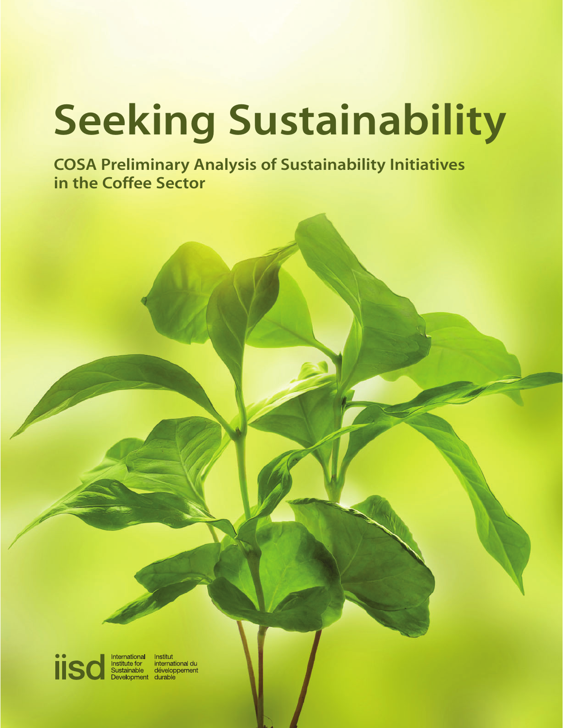# **Seeking Sustainability**

**COSA Preliminary Analysis of Sustainability Initiatives in the Coffee Sector**

**iis** 

International<br>Institute for<br>Sustainable Institut institut<br>international du<br>développement evelopment durable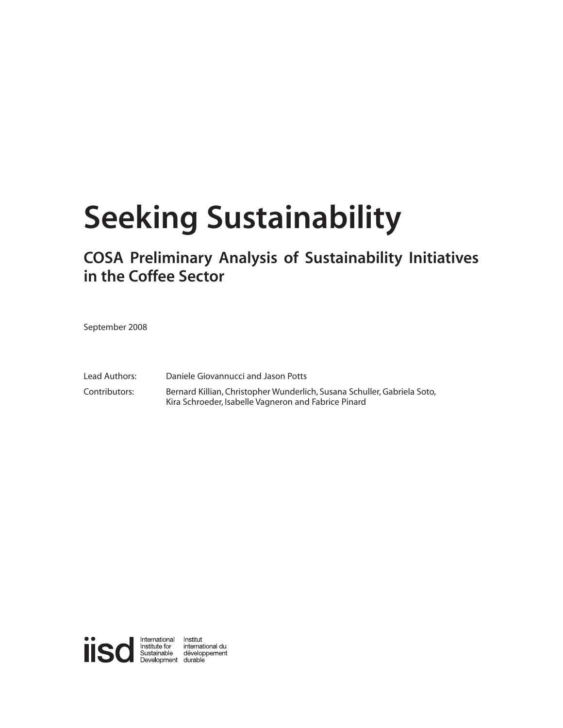## **Seeking Sustainability**

## **COSA Preliminary Analysis of Sustainability Initiatives in the Coffee Sector**

September 2008

Lead Authors: Daniele Giovannucci and Jason Potts Contributors: Bernard Killian, Christopher Wunderlich, Susana Schuller, Gabriela Soto, Kira Schroeder, Isabelle Vagneron and Fabrice Pinard

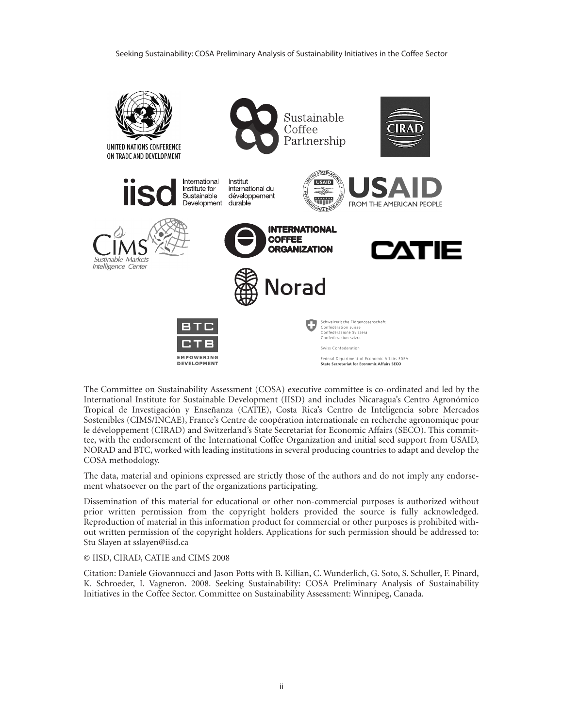

The Committee on Sustainability Assessment (COSA) executive committee is co-ordinated and led by the International Institute for Sustainable Development (IISD) and includes Nicaragua's Centro Agronómico Tropical de Investigación y Enseñanza (CATIE), Costa Rica's Centro de Inteligencia sobre Mercados Sostenibles (CIMS/INCAE), France's Centre de coopération internationale en recherche agronomique pour le développement (CIRAD) and Switzerland's State Secretariat for Economic Affairs (SECO). This committee, with the endorsement of the International Coffee Organization and initial seed support from USAID, NORAD and BTC, worked with leading institutions in several producing countries to adapt and develop the COSA methodology.

The data, material and opinions expressed are strictly those of the authors and do not imply any endorsement whatsoever on the part of the organizations participating.

Dissemination of this material for educational or other non-commercial purposes is authorized without prior written permission from the copyright holders provided the source is fully acknowledged. Reproduction of material in this information product for commercial or other purposes is prohibited without written permission of the copyright holders. Applications for such permission should be addressed to: Stu Slayen at sslayen@iisd.ca

#### © IISD, CIRAD, CATIE and CIMS 2008

Citation: Daniele Giovannucci and Jason Potts with B. Killian, C. Wunderlich, G. Soto, S. Schuller, F. Pinard, K. Schroeder, I. Vagneron. 2008. Seeking Sustainability: COSA Preliminary Analysis of Sustainability Initiatives in the Coffee Sector. Committee on Sustainability Assessment: Winnipeg, Canada.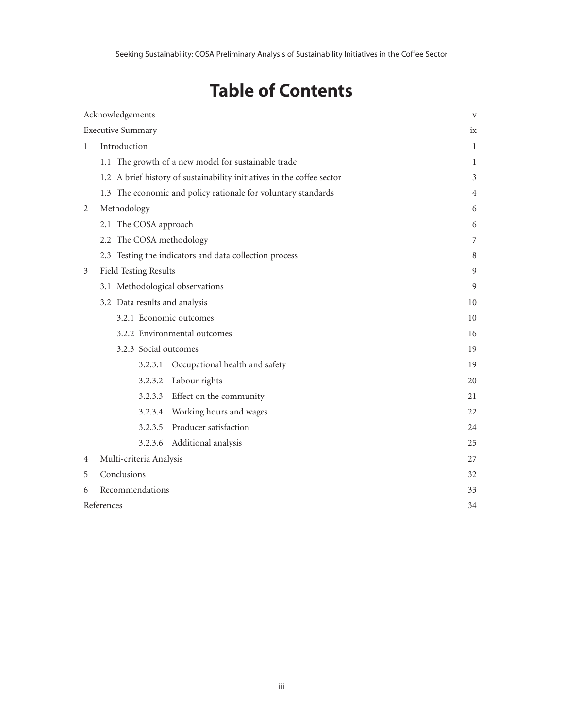## **Table of Contents**

| Acknowledgements         |                                                                        |                                 |    |  |
|--------------------------|------------------------------------------------------------------------|---------------------------------|----|--|
| <b>Executive Summary</b> |                                                                        |                                 |    |  |
| $\mathbf{1}$             | Introduction                                                           | 1                               |    |  |
|                          | 1.1 The growth of a new model for sustainable trade                    | 1                               |    |  |
|                          | 1.2 A brief history of sustainability initiatives in the coffee sector | 3                               |    |  |
|                          | 1.3 The economic and policy rationale for voluntary standards          | 4                               |    |  |
| 2                        | Methodology                                                            | 6                               |    |  |
|                          | 2.1 The COSA approach                                                  | 6                               |    |  |
|                          | 2.2 The COSA methodology                                               | 7                               |    |  |
|                          | 2.3 Testing the indicators and data collection process                 | 8                               |    |  |
| 3                        | <b>Field Testing Results</b>                                           | 9                               |    |  |
|                          | 3.1 Methodological observations                                        | 9                               |    |  |
|                          | 3.2 Data results and analysis                                          | 10                              |    |  |
|                          | 3.2.1 Economic outcomes                                                | 10                              |    |  |
|                          | 3.2.2 Environmental outcomes                                           | 16                              |    |  |
|                          | 3.2.3 Social outcomes                                                  | 19                              |    |  |
|                          | 3.2.3.1                                                                | Occupational health and safety  | 19 |  |
|                          |                                                                        | 3.2.3.2 Labour rights           | 20 |  |
|                          |                                                                        | 3.2.3.3 Effect on the community | 21 |  |
|                          |                                                                        | 3.2.3.4 Working hours and wages | 22 |  |
|                          |                                                                        | 3.2.3.5 Producer satisfaction   | 24 |  |
|                          | 3.2.3.6                                                                | Additional analysis             | 25 |  |
| 4                        | Multi-criteria Analysis                                                |                                 | 27 |  |
| 5                        | Conclusions                                                            | 32                              |    |  |
| 6                        | Recommendations                                                        |                                 |    |  |
|                          | References                                                             |                                 |    |  |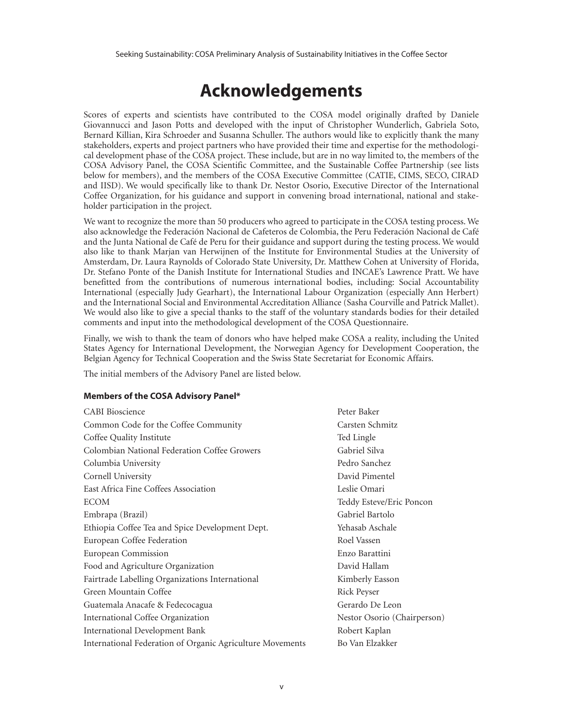## **Acknowledgements**

Scores of experts and scientists have contributed to the COSA model originally drafted by Daniele Giovannucci and Jason Potts and developed with the input of Christopher Wunderlich, Gabriela Soto, Bernard Killian, Kira Schroeder and Susanna Schuller. The authors would like to explicitly thank the many stakeholders, experts and project partners who have provided their time and expertise for the methodological development phase of the COSA project. These include, but are in no way limited to, the members of the COSA Advisory Panel, the COSA Scientific Committee, and the Sustainable Coffee Partnership (see lists below for members), and the members of the COSA Executive Committee (CATIE, CIMS, SECO, CIRAD and IISD). We would specifically like to thank Dr. Nestor Osorio, Executive Director of the International Coffee Organization, for his guidance and support in convening broad international, national and stakeholder participation in the project.

We want to recognize the more than 50 producers who agreed to participate in the COSA testing process. We also acknowledge the Federación Nacional de Cafeteros de Colombia, the Peru Federación Nacional de Café and the Junta National de Café de Peru for their guidance and support during the testing process. We would also like to thank Marjan van Herwijnen of the Institute for Environmental Studies at the University of Amsterdam, Dr. Laura Raynolds of Colorado State University, Dr. Matthew Cohen at University of Florida, Dr. Stefano Ponte of the Danish Institute for International Studies and INCAE's Lawrence Pratt. We have benefitted from the contributions of numerous international bodies, including: Social Accountability International (especially Judy Gearhart), the International Labour Organization (especially Ann Herbert) and the International Social and Environmental Accreditation Alliance (Sasha Courville and Patrick Mallet). We would also like to give a special thanks to the staff of the voluntary standards bodies for their detailed comments and input into the methodological development of the COSA Questionnaire.

Finally, we wish to thank the team of donors who have helped make COSA a reality, including the United States Agency for International Development, the Norwegian Agency for Development Cooperation, the Belgian Agency for Technical Cooperation and the Swiss State Secretariat for Economic Affairs.

The initial members of the Advisory Panel are listed below.

#### **Members of the COSA Advisory Panel\***

| <b>CABI</b> Bioscience                                    | Peter Baker                 |
|-----------------------------------------------------------|-----------------------------|
| Common Code for the Coffee Community                      | Carsten Schmitz             |
| Coffee Quality Institute                                  | Ted Lingle                  |
| Colombian National Federation Coffee Growers              | Gabriel Silva               |
| Columbia University                                       | Pedro Sanchez               |
| Cornell University                                        | David Pimentel              |
| East Africa Fine Coffees Association                      | Leslie Omari                |
| <b>ECOM</b>                                               | Teddy Esteve/Eric Poncon    |
| Embrapa (Brazil)                                          | Gabriel Bartolo             |
| Ethiopia Coffee Tea and Spice Development Dept.           | Yehasab Aschale             |
| European Coffee Federation                                | Roel Vassen                 |
| European Commission                                       | Enzo Barattini              |
| Food and Agriculture Organization                         | David Hallam                |
| Fairtrade Labelling Organizations International           | Kimberly Easson             |
| Green Mountain Coffee                                     | Rick Peyser                 |
| Guatemala Anacafe & Fedecocagua                           | Gerardo De Leon             |
| International Coffee Organization                         | Nestor Osorio (Chairperson) |
| <b>International Development Bank</b>                     | Robert Kaplan               |
| International Federation of Organic Agriculture Movements | Bo Van Elzakker             |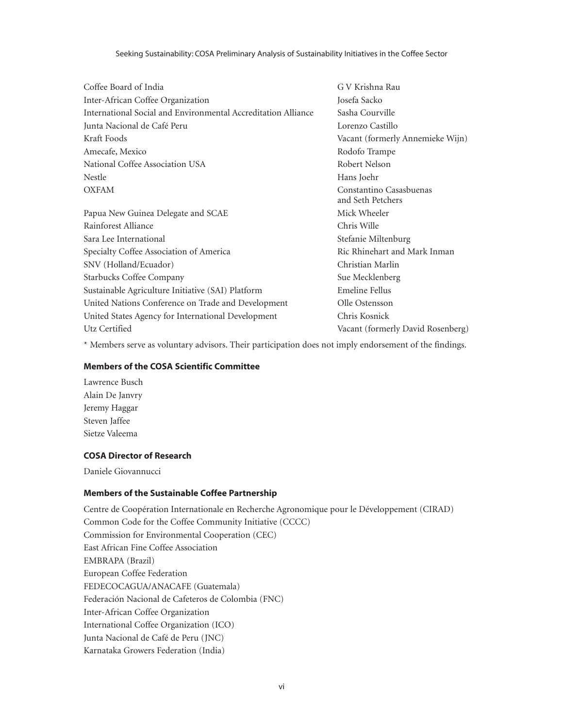| Coffee Board of India                                         | G V Krishna Rau                              |
|---------------------------------------------------------------|----------------------------------------------|
| Inter-African Coffee Organization                             | Josefa Sacko                                 |
| International Social and Environmental Accreditation Alliance | Sasha Courville                              |
| Junta Nacional de Café Peru                                   | Lorenzo Castillo                             |
| Kraft Foods                                                   | Vacant (formerly Annemieke Wijn)             |
| Amecafe, Mexico                                               | Rodofo Trampe                                |
| National Coffee Association USA                               | Robert Nelson                                |
| <b>Nestle</b>                                                 | Hans Joehr                                   |
| <b>OXFAM</b>                                                  | Constantino Casasbuenas<br>and Seth Petchers |
| Papua New Guinea Delegate and SCAE                            | Mick Wheeler                                 |
| Rainforest Alliance                                           | Chris Wille                                  |
| Sara Lee International                                        | Stefanie Miltenburg                          |
| Specialty Coffee Association of America                       | Ric Rhinehart and Mark Inman                 |
| SNV (Holland/Ecuador)                                         | Christian Marlin                             |
| <b>Starbucks Coffee Company</b>                               | Sue Mecklenberg                              |
| Sustainable Agriculture Initiative (SAI) Platform             | Emeline Fellus                               |
| United Nations Conference on Trade and Development            | Olle Ostensson                               |
| United States Agency for International Development            | Chris Kosnick                                |
| Utz Certified                                                 | Vacant (formerly David Rosenberg)            |

\* Members serve as voluntary advisors. Their participation does not imply endorsement of the findings.

#### **Members of the COSA Scientific Committee**

Lawrence Busch Alain De Janvry Jeremy Haggar Steven Jaffee Sietze Valeema

#### **COSA Director of Research**

Daniele Giovannucci

#### **Members of the Sustainable Coffee Partnership**

Centre de Coopération Internationale en Recherche Agronomique pour le Développement (CIRAD) Common Code for the Coffee Community Initiative (CCCC) Commission for Environmental Cooperation (CEC) East African Fine Coffee Association EMBRAPA (Brazil) European Coffee Federation FEDECOCAGUA/ANACAFE (Guatemala) Federación Nacional de Cafeteros de Colombia (FNC) Inter-African Coffee Organization International Coffee Organization (ICO) Junta Nacional de Café de Peru (JNC) Karnataka Growers Federation (India)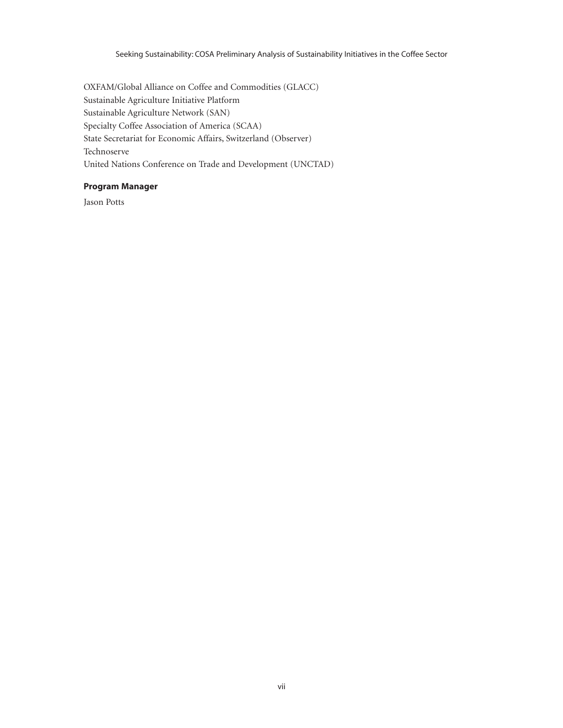OXFAM/Global Alliance on Coffee and Commodities (GLACC) Sustainable Agriculture Initiative Platform Sustainable Agriculture Network (SAN) Specialty Coffee Association of America (SCAA) State Secretariat for Economic Affairs, Switzerland (Observer) Technoserve United Nations Conference on Trade and Development (UNCTAD)

#### **Program Manager**

Jason Potts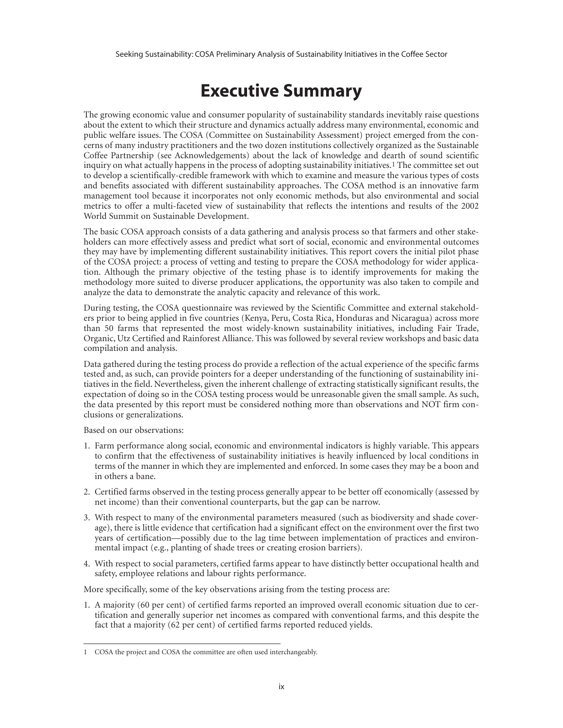## **Executive Summary**

The growing economic value and consumer popularity of sustainability standards inevitably raise questions about the extent to which their structure and dynamics actually address many environmental, economic and public welfare issues. The COSA (Committee on Sustainability Assessment) project emerged from the concerns of many industry practitioners and the two dozen institutions collectively organized as the Sustainable Coffee Partnership (see Acknowledgements) about the lack of knowledge and dearth of sound scientific inquiry on what actually happens in the process of adopting sustainability initiatives.1 The committee set out to develop a scientifically-credible framework with which to examine and measure the various types of costs and benefits associated with different sustainability approaches. The COSA method is an innovative farm management tool because it incorporates not only economic methods, but also environmental and social metrics to offer a multi-faceted view of sustainability that reflects the intentions and results of the 2002 World Summit on Sustainable Development.

The basic COSA approach consists of a data gathering and analysis process so that farmers and other stakeholders can more effectively assess and predict what sort of social, economic and environmental outcomes they may have by implementing different sustainability initiatives. This report covers the initial pilot phase of the COSA project: a process of vetting and testing to prepare the COSA methodology for wider application. Although the primary objective of the testing phase is to identify improvements for making the methodology more suited to diverse producer applications, the opportunity was also taken to compile and analyze the data to demonstrate the analytic capacity and relevance of this work.

During testing, the COSA questionnaire was reviewed by the Scientific Committee and external stakeholders prior to being applied in five countries (Kenya, Peru, Costa Rica, Honduras and Nicaragua) across more than 50 farms that represented the most widely-known sustainability initiatives, including Fair Trade, Organic, Utz Certified and Rainforest Alliance. This was followed by several review workshops and basic data compilation and analysis.

Data gathered during the testing process do provide a reflection of the actual experience of the specific farms tested and, as such, can provide pointers for a deeper understanding of the functioning of sustainability initiatives in the field. Nevertheless, given the inherent challenge of extracting statistically significant results, the expectation of doing so in the COSA testing process would be unreasonable given the small sample. As such, the data presented by this report must be considered nothing more than observations and NOT firm conclusions or generalizations.

Based on our observations:

- 1. Farm performance along social, economic and environmental indicators is highly variable. This appears to confirm that the effectiveness of sustainability initiatives is heavily influenced by local conditions in terms of the manner in which they are implemented and enforced. In some cases they may be a boon and in others a bane.
- 2. Certified farms observed in the testing process generally appear to be better off economically (assessed by net income) than their conventional counterparts, but the gap can be narrow.
- 3. With respect to many of the environmental parameters measured (such as biodiversity and shade coverage), there is little evidence that certification had a significant effect on the environment over the first two years of certification—possibly due to the lag time between implementation of practices and environmental impact (e.g., planting of shade trees or creating erosion barriers).
- 4. With respect to social parameters, certified farms appear to have distinctly better occupational health and safety, employee relations and labour rights performance.

More specifically, some of the key observations arising from the testing process are:

1. A majority (60 per cent) of certified farms reported an improved overall economic situation due to certification and generally superior net incomes as compared with conventional farms, and this despite the fact that a majority (62 per cent) of certified farms reported reduced yields.

<sup>1</sup> COSA the project and COSA the committee are often used interchangeably.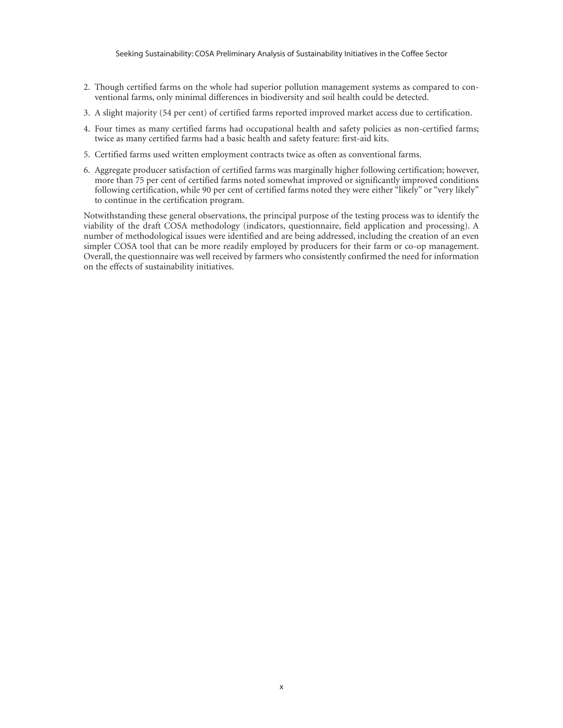- 2. Though certified farms on the whole had superior pollution management systems as compared to conventional farms, only minimal differences in biodiversity and soil health could be detected.
- 3. A slight majority (54 per cent) of certified farms reported improved market access due to certification.
- 4. Four times as many certified farms had occupational health and safety policies as non-certified farms; twice as many certified farms had a basic health and safety feature: first-aid kits.
- 5. Certified farms used written employment contracts twice as often as conventional farms.
- 6. Aggregate producer satisfaction of certified farms was marginally higher following certification; however, more than 75 per cent of certified farms noted somewhat improved or significantly improved conditions following certification, while 90 per cent of certified farms noted they were either "likely" or "very likely" to continue in the certification program.

Notwithstanding these general observations, the principal purpose of the testing process was to identify the viability of the draft COSA methodology (indicators, questionnaire, field application and processing). A number of methodological issues were identified and are being addressed, including the creation of an even simpler COSA tool that can be more readily employed by producers for their farm or co-op management. Overall, the questionnaire was well received by farmers who consistently confirmed the need for information on the effects of sustainability initiatives.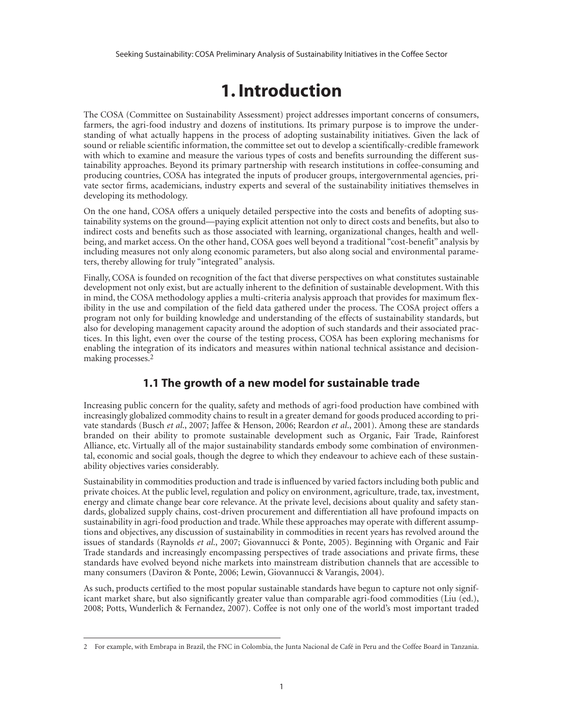## **1. Introduction**

The COSA (Committee on Sustainability Assessment) project addresses important concerns of consumers, farmers, the agri-food industry and dozens of institutions. Its primary purpose is to improve the understanding of what actually happens in the process of adopting sustainability initiatives. Given the lack of sound or reliable scientific information, the committee set out to develop a scientifically-credible framework with which to examine and measure the various types of costs and benefits surrounding the different sustainability approaches. Beyond its primary partnership with research institutions in coffee-consuming and producing countries, COSA has integrated the inputs of producer groups, intergovernmental agencies, private sector firms, academicians, industry experts and several of the sustainability initiatives themselves in developing its methodology.

On the one hand, COSA offers a uniquely detailed perspective into the costs and benefits of adopting sustainability systems on the ground—paying explicit attention not only to direct costs and benefits, but also to indirect costs and benefits such as those associated with learning, organizational changes, health and wellbeing, and market access. On the other hand, COSA goes well beyond a traditional "cost-benefit" analysis by including measures not only along economic parameters, but also along social and environmental parameters, thereby allowing for truly "integrated" analysis.

Finally, COSA is founded on recognition of the fact that diverse perspectives on what constitutes sustainable development not only exist, but are actually inherent to the definition of sustainable development. With this in mind, the COSA methodology applies a multi-criteria analysis approach that provides for maximum flexibility in the use and compilation of the field data gathered under the process. The COSA project offers a program not only for building knowledge and understanding of the effects of sustainability standards, but also for developing management capacity around the adoption of such standards and their associated practices. In this light, even over the course of the testing process, COSA has been exploring mechanisms for enabling the integration of its indicators and measures within national technical assistance and decisionmaking processes.2

#### **1.1 The growth of a new model for sustainable trade**

Increasing public concern for the quality, safety and methods of agri-food production have combined with increasingly globalized commodity chains to result in a greater demand for goods produced according to private standards (Busch *et al*., 2007; Jaffee & Henson, 2006; Reardon *et al*., 2001). Among these are standards branded on their ability to promote sustainable development such as Organic, Fair Trade, Rainforest Alliance, etc. Virtually all of the major sustainability standards embody some combination of environmental, economic and social goals, though the degree to which they endeavour to achieve each of these sustainability objectives varies considerably.

Sustainability in commodities production and trade is influenced by varied factors including both public and private choices. At the public level, regulation and policy on environment, agriculture, trade, tax, investment, energy and climate change bear core relevance. At the private level, decisions about quality and safety standards, globalized supply chains, cost-driven procurement and differentiation all have profound impacts on sustainability in agri-food production and trade. While these approaches may operate with different assumptions and objectives, any discussion of sustainability in commodities in recent years has revolved around the issues of standards (Raynolds *et al*., 2007; Giovannucci & Ponte, 2005). Beginning with Organic and Fair Trade standards and increasingly encompassing perspectives of trade associations and private firms, these standards have evolved beyond niche markets into mainstream distribution channels that are accessible to many consumers (Daviron & Ponte, 2006; Lewin, Giovannucci & Varangis, 2004).

As such, products certified to the most popular sustainable standards have begun to capture not only significant market share, but also significantly greater value than comparable agri-food commodities (Liu (ed.), 2008; Potts, Wunderlich & Fernandez, 2007). Coffee is not only one of the world's most important traded

<sup>2</sup> For example, with Embrapa in Brazil, the FNC in Colombia, the Junta Nacional de Café in Peru and the Coffee Board in Tanzania.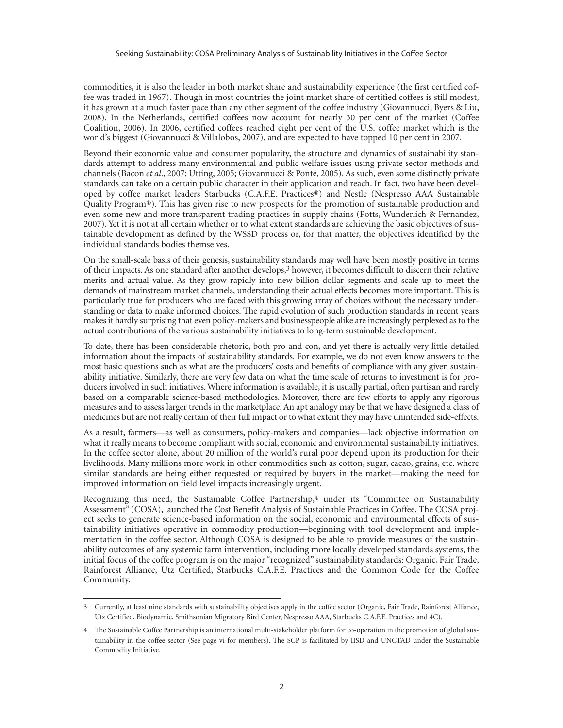commodities, it is also the leader in both market share and sustainability experience (the first certified coffee was traded in 1967). Though in most countries the joint market share of certified coffees is still modest, it has grown at a much faster pace than any other segment of the coffee industry (Giovannucci, Byers & Liu, 2008). In the Netherlands, certified coffees now account for nearly 30 per cent of the market (Coffee Coalition, 2006). In 2006, certified coffees reached eight per cent of the U.S. coffee market which is the world's biggest (Giovannucci & Villalobos, 2007), and are expected to have topped 10 per cent in 2007.

Beyond their economic value and consumer popularity, the structure and dynamics of sustainability standards attempt to address many environmental and public welfare issues using private sector methods and channels (Bacon *et al*., 2007; Utting, 2005; Giovannucci & Ponte, 2005). As such, even some distinctly private standards can take on a certain public character in their application and reach. In fact, two have been developed by coffee market leaders Starbucks (C.A.F.E. Practices®) and Nestle (Nespresso AAA Sustainable Quality Program®). This has given rise to new prospects for the promotion of sustainable production and even some new and more transparent trading practices in supply chains (Potts, Wunderlich & Fernandez, 2007). Yet it is not at all certain whether or to what extent standards are achieving the basic objectives of sustainable development as defined by the WSSD process or, for that matter, the objectives identified by the individual standards bodies themselves.

On the small-scale basis of their genesis, sustainability standards may well have been mostly positive in terms of their impacts. As one standard after another develops,3 however, it becomes difficult to discern their relative merits and actual value. As they grow rapidly into new billion-dollar segments and scale up to meet the demands of mainstream market channels, understanding their actual effects becomes more important. This is particularly true for producers who are faced with this growing array of choices without the necessary understanding or data to make informed choices. The rapid evolution of such production standards in recent years makes it hardly surprising that even policy-makers and businesspeople alike are increasingly perplexed as to the actual contributions of the various sustainability initiatives to long-term sustainable development.

To date, there has been considerable rhetoric, both pro and con, and yet there is actually very little detailed information about the impacts of sustainability standards. For example, we do not even know answers to the most basic questions such as what are the producers' costs and benefits of compliance with any given sustainability initiative. Similarly, there are very few data on what the time scale of returns to investment is for producers involved in such initiatives. Where information is available, it is usually partial, often partisan and rarely based on a comparable science-based methodologies. Moreover, there are few efforts to apply any rigorous measures and to assess larger trends in the marketplace. An apt analogy may be that we have designed a class of medicines but are not really certain of their full impact or to what extent they may have unintended side-effects.

As a result, farmers—as well as consumers, policy-makers and companies—lack objective information on what it really means to become compliant with social, economic and environmental sustainability initiatives. In the coffee sector alone, about 20 million of the world's rural poor depend upon its production for their livelihoods. Many millions more work in other commodities such as cotton, sugar, cacao, grains, etc. where similar standards are being either requested or required by buyers in the market—making the need for improved information on field level impacts increasingly urgent.

Recognizing this need, the Sustainable Coffee Partnership,4 under its "Committee on Sustainability Assessment" (COSA), launched the Cost Benefit Analysis of Sustainable Practices in Coffee. The COSA project seeks to generate science-based information on the social, economic and environmental effects of sustainability initiatives operative in commodity production—beginning with tool development and implementation in the coffee sector. Although COSA is designed to be able to provide measures of the sustainability outcomes of any systemic farm intervention, including more locally developed standards systems, the initial focus of the coffee program is on the major "recognized" sustainability standards: Organic, Fair Trade, Rainforest Alliance, Utz Certified, Starbucks C.A.F.E. Practices and the Common Code for the Coffee Community.

<sup>3</sup> Currently, at least nine standards with sustainability objectives apply in the coffee sector (Organic, Fair Trade, Rainforest Alliance, Utz Certified, Biodynamic, Smithsonian Migratory Bird Center, Nespresso AAA, Starbucks C.A.F.E. Practices and 4C).

<sup>4</sup> The Sustainable Coffee Partnership is an international multi-stakeholder platform for co-operation in the promotion of global sustainability in the coffee sector (See page vi for members). The SCP is facilitated by IISD and UNCTAD under the Sustainable Commodity Initiative.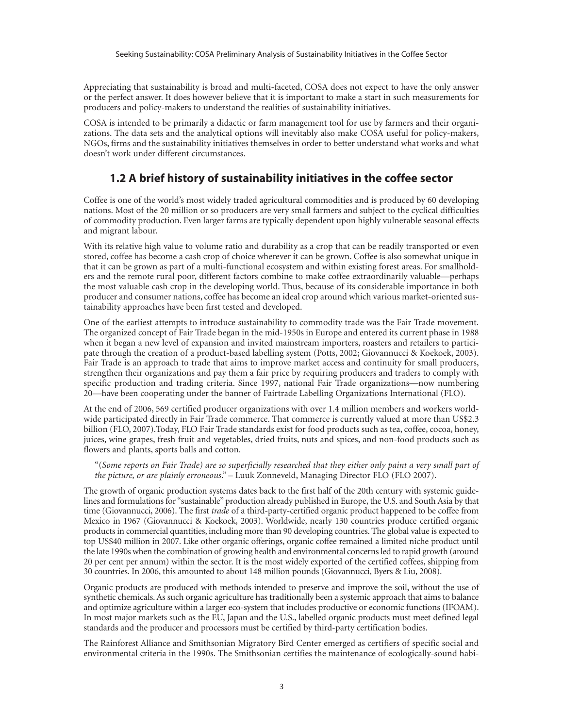Appreciating that sustainability is broad and multi-faceted, COSA does not expect to have the only answer or the perfect answer. It does however believe that it is important to make a start in such measurements for producers and policy-makers to understand the realities of sustainability initiatives.

COSA is intended to be primarily a didactic or farm management tool for use by farmers and their organizations. The data sets and the analytical options will inevitably also make COSA useful for policy-makers, NGOs, firms and the sustainability initiatives themselves in order to better understand what works and what doesn't work under different circumstances.

#### **1.2 A brief history of sustainability initiatives in the coffee sector**

Coffee is one of the world's most widely traded agricultural commodities and is produced by 60 developing nations. Most of the 20 million or so producers are very small farmers and subject to the cyclical difficulties of commodity production. Even larger farms are typically dependent upon highly vulnerable seasonal effects and migrant labour.

With its relative high value to volume ratio and durability as a crop that can be readily transported or even stored, coffee has become a cash crop of choice wherever it can be grown. Coffee is also somewhat unique in that it can be grown as part of a multi-functional ecosystem and within existing forest areas. For smallholders and the remote rural poor, different factors combine to make coffee extraordinarily valuable—perhaps the most valuable cash crop in the developing world. Thus, because of its considerable importance in both producer and consumer nations, coffee has become an ideal crop around which various market-oriented sustainability approaches have been first tested and developed.

One of the earliest attempts to introduce sustainability to commodity trade was the Fair Trade movement. The organized concept of Fair Trade began in the mid-1950s in Europe and entered its current phase in 1988 when it began a new level of expansion and invited mainstream importers, roasters and retailers to participate through the creation of a product-based labelling system (Potts, 2002; Giovannucci & Koekoek, 2003). Fair Trade is an approach to trade that aims to improve market access and continuity for small producers, strengthen their organizations and pay them a fair price by requiring producers and traders to comply with specific production and trading criteria. Since 1997, national Fair Trade organizations—now numbering 20—have been cooperating under the banner of Fairtrade Labelling Organizations International (FLO).

At the end of 2006, 569 certified producer organizations with over 1.4 million members and workers worldwide participated directly in Fair Trade commerce. That commerce is currently valued at more than US\$2.3 billion (FLO, 2007).Today, FLO Fair Trade standards exist for food products such as tea, coffee, cocoa, honey, juices, wine grapes, fresh fruit and vegetables, dried fruits, nuts and spices, and non-food products such as flowers and plants, sports balls and cotton.

"(*Some reports on Fair Trade) are so superficially researched that they either only paint a very small part of the picture, or are plainly erroneous*." – Luuk Zonneveld, Managing Director FLO (FLO 2007).

The growth of organic production systems dates back to the first half of the 20th century with systemic guidelines and formulations for "sustainable" production already published in Europe, the U.S. and South Asia by that time (Giovannucci, 2006). The first *trade* of a third-party-certified organic product happened to be coffee from Mexico in 1967 (Giovannucci & Koekoek, 2003). Worldwide, nearly 130 countries produce certified organic products in commercial quantities, including more than 90 developing countries. The global value is expected to top US\$40 million in 2007. Like other organic offerings, organic coffee remained a limited niche product until the late 1990s when the combination of growing health and environmental concerns led to rapid growth (around 20 per cent per annum) within the sector. It is the most widely exported of the certified coffees, shipping from 30 countries. In 2006, this amounted to about 148 million pounds (Giovannucci, Byers & Liu, 2008).

Organic products are produced with methods intended to preserve and improve the soil, without the use of synthetic chemicals. As such organic agriculture has traditionally been a systemic approach that aims to balance and optimize agriculture within a larger eco-system that includes productive or economic functions (IFOAM). In most major markets such as the EU, Japan and the U.S., labelled organic products must meet defined legal standards and the producer and processors must be certified by third-party certification bodies.

The Rainforest Alliance and Smithsonian Migratory Bird Center emerged as certifiers of specific social and environmental criteria in the 1990s. The Smithsonian certifies the maintenance of ecologically-sound habi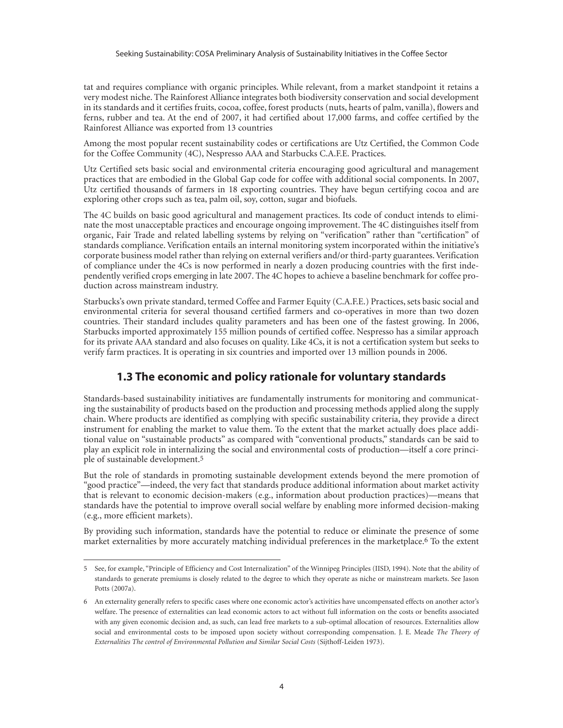tat and requires compliance with organic principles. While relevant, from a market standpoint it retains a very modest niche. The Rainforest Alliance integrates both biodiversity conservation and social development in its standards and it certifies fruits, cocoa, coffee, forest products (nuts, hearts of palm, vanilla), flowers and ferns, rubber and tea. At the end of 2007, it had certified about 17,000 farms, and coffee certified by the Rainforest Alliance was exported from 13 countries

Among the most popular recent sustainability codes or certifications are Utz Certified, the Common Code for the Coffee Community (4C), Nespresso AAA and Starbucks C.A.F.E. Practices.

Utz Certified sets basic social and environmental criteria encouraging good agricultural and management practices that are embodied in the Global Gap code for coffee with additional social components. In 2007, Utz certified thousands of farmers in 18 exporting countries. They have begun certifying cocoa and are exploring other crops such as tea, palm oil, soy, cotton, sugar and biofuels.

The 4C builds on basic good agricultural and management practices. Its code of conduct intends to eliminate the most unacceptable practices and encourage ongoing improvement. The 4C distinguishes itself from organic, Fair Trade and related labelling systems by relying on "verification" rather than "certification" of standards compliance. Verification entails an internal monitoring system incorporated within the initiative's corporate business model rather than relying on external verifiers and/or third-party guarantees. Verification of compliance under the 4Cs is now performed in nearly a dozen producing countries with the first independently verified crops emerging in late 2007. The 4C hopes to achieve a baseline benchmark for coffee production across mainstream industry.

Starbucks's own private standard, termed Coffee and Farmer Equity (C.A.F.E.) Practices, sets basic social and environmental criteria for several thousand certified farmers and co-operatives in more than two dozen countries. Their standard includes quality parameters and has been one of the fastest growing. In 2006, Starbucks imported approximately 155 million pounds of certified coffee. Nespresso has a similar approach for its private AAA standard and also focuses on quality. Like 4Cs, it is not a certification system but seeks to verify farm practices. It is operating in six countries and imported over 13 million pounds in 2006.

#### **1.3 The economic and policy rationale for voluntary standards**

Standards-based sustainability initiatives are fundamentally instruments for monitoring and communicating the sustainability of products based on the production and processing methods applied along the supply chain. Where products are identified as complying with specific sustainability criteria, they provide a direct instrument for enabling the market to value them. To the extent that the market actually does place additional value on "sustainable products" as compared with "conventional products," standards can be said to play an explicit role in internalizing the social and environmental costs of production—itself a core principle of sustainable development.5

But the role of standards in promoting sustainable development extends beyond the mere promotion of "good practice"—indeed, the very fact that standards produce additional information about market activity that is relevant to economic decision-makers (e.g., information about production practices)—means that standards have the potential to improve overall social welfare by enabling more informed decision-making (e.g., more efficient markets).

By providing such information, standards have the potential to reduce or eliminate the presence of some market externalities by more accurately matching individual preferences in the marketplace.6 To the extent

<sup>5</sup> See, for example, "Principle of Efficiency and Cost Internalization" of the Winnipeg Principles (IISD, 1994). Note that the ability of standards to generate premiums is closely related to the degree to which they operate as niche or mainstream markets. See Jason Potts (2007a).

<sup>6</sup> An externality generally refers to specific cases where one economic actor's activities have uncompensated effects on another actor's welfare. The presence of externalities can lead economic actors to act without full information on the costs or benefits associated with any given economic decision and, as such, can lead free markets to a sub-optimal allocation of resources. Externalities allow social and environmental costs to be imposed upon society without corresponding compensation. J. E. Meade *The Theory of Externalities The control of Environmental Pollution and Similar Social Costs* (Sijthoff-Leiden 1973).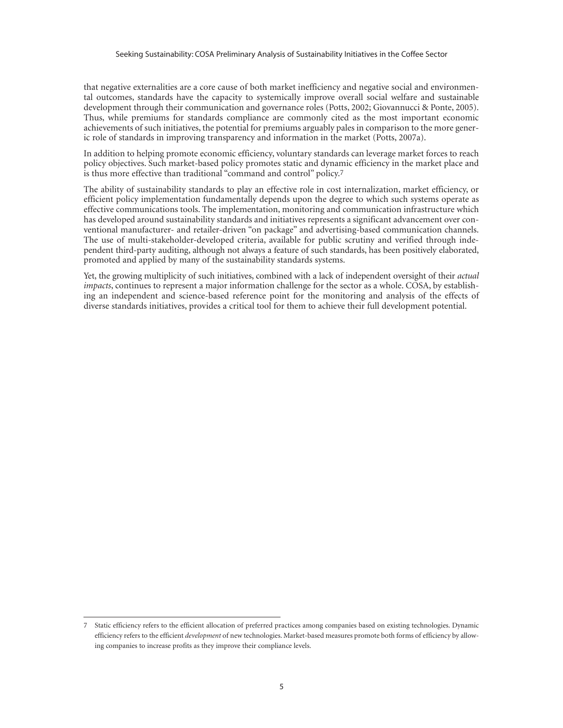that negative externalities are a core cause of both market inefficiency and negative social and environmental outcomes, standards have the capacity to systemically improve overall social welfare and sustainable development through their communication and governance roles (Potts, 2002; Giovannucci & Ponte, 2005). Thus, while premiums for standards compliance are commonly cited as the most important economic achievements of such initiatives, the potential for premiums arguably pales in comparison to the more generic role of standards in improving transparency and information in the market (Potts, 2007a).

In addition to helping promote economic efficiency, voluntary standards can leverage market forces to reach policy objectives. Such market-based policy promotes static and dynamic efficiency in the market place and is thus more effective than traditional "command and control" policy.7

The ability of sustainability standards to play an effective role in cost internalization, market efficiency, or efficient policy implementation fundamentally depends upon the degree to which such systems operate as effective communications tools. The implementation, monitoring and communication infrastructure which has developed around sustainability standards and initiatives represents a significant advancement over conventional manufacturer- and retailer-driven "on package" and advertising-based communication channels. The use of multi-stakeholder-developed criteria, available for public scrutiny and verified through independent third-party auditing, although not always a feature of such standards, has been positively elaborated, promoted and applied by many of the sustainability standards systems.

Yet, the growing multiplicity of such initiatives, combined with a lack of independent oversight of their *actual impacts*, continues to represent a major information challenge for the sector as a whole. COSA, by establishing an independent and science-based reference point for the monitoring and analysis of the effects of diverse standards initiatives, provides a critical tool for them to achieve their full development potential.

<sup>7</sup> Static efficiency refers to the efficient allocation of preferred practices among companies based on existing technologies. Dynamic efficiency refers to the efficient *development* of new technologies. Market-based measures promote both forms of efficiency by allowing companies to increase profits as they improve their compliance levels.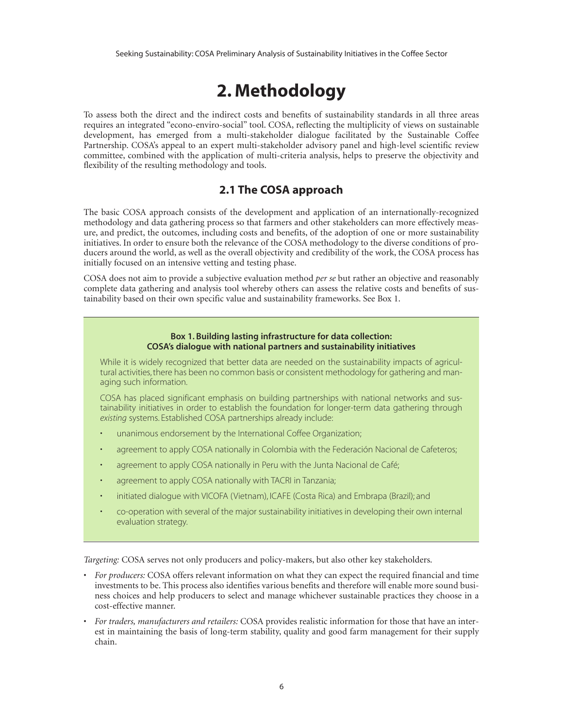## **2. Methodology**

To assess both the direct and the indirect costs and benefits of sustainability standards in all three areas requires an integrated "econo-enviro-social" tool. COSA, reflecting the multiplicity of views on sustainable development, has emerged from a multi-stakeholder dialogue facilitated by the Sustainable Coffee Partnership. COSA's appeal to an expert multi-stakeholder advisory panel and high-level scientific review committee, combined with the application of multi-criteria analysis, helps to preserve the objectivity and flexibility of the resulting methodology and tools.

#### **2.1 The COSA approach**

The basic COSA approach consists of the development and application of an internationally-recognized methodology and data gathering process so that farmers and other stakeholders can more effectively measure, and predict, the outcomes, including costs and benefits, of the adoption of one or more sustainability initiatives. In order to ensure both the relevance of the COSA methodology to the diverse conditions of producers around the world, as well as the overall objectivity and credibility of the work, the COSA process has initially focused on an intensive vetting and testing phase.

COSA does not aim to provide a subjective evaluation method *per se* but rather an objective and reasonably complete data gathering and analysis tool whereby others can assess the relative costs and benefits of sustainability based on their own specific value and sustainability frameworks. See Box 1.

#### **Box 1. Building lasting infrastructure for data collection: COSA's dialogue with national partners and sustainability initiatives**

While it is widely recognized that better data are needed on the sustainability impacts of agricultural activities, there has been no common basis or consistent methodology for gathering and managing such information.

COSA has placed significant emphasis on building partnerships with national networks and sustainability initiatives in order to establish the foundation for longer-term data gathering through *existing* systems. Established COSA partnerships already include:

- unanimous endorsement by the International Coffee Organization;
- agreement to apply COSA nationally in Colombia with the Federación Nacional de Cafeteros;
- agreement to apply COSA nationally in Peru with the Junta Nacional de Café;
- agreement to apply COSA nationally with TACRI in Tanzania;
- initiated dialogue with VICOFA (Vietnam), ICAFE (Costa Rica) and Embrapa (Brazil); and
- co-operation with several of the major sustainability initiatives in developing their own internal evaluation strategy.

*Targeting:* COSA serves not only producers and policy-makers, but also other key stakeholders.

- *For producers:* COSA offers relevant information on what they can expect the required financial and time investments to be. This process also identifies various benefits and therefore will enable more sound business choices and help producers to select and manage whichever sustainable practices they choose in a cost-effective manner.
- *For traders, manufacturers and retailers:* COSA provides realistic information for those that have an interest in maintaining the basis of long-term stability, quality and good farm management for their supply chain.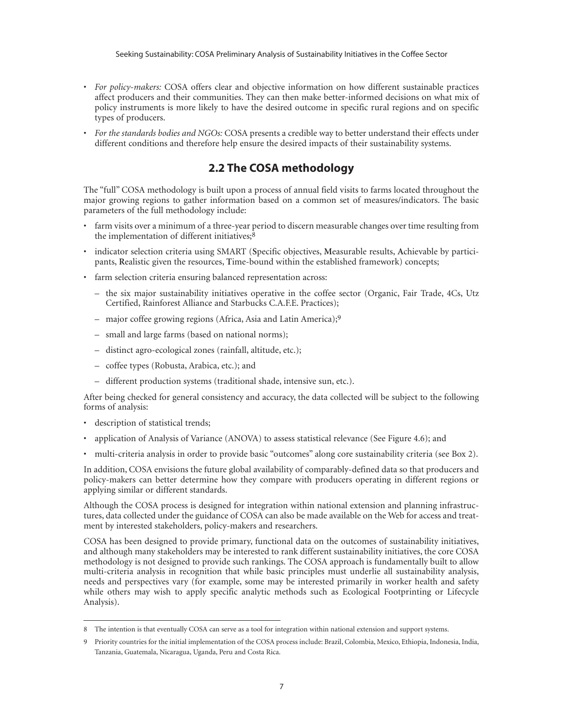- *For policy-makers:* COSA offers clear and objective information on how different sustainable practices affect producers and their communities. They can then make better-informed decisions on what mix of policy instruments is more likely to have the desired outcome in specific rural regions and on specific types of producers.
- *For the standards bodies and NGOs:* COSA presents a credible way to better understand their effects under different conditions and therefore help ensure the desired impacts of their sustainability systems.

#### **2.2 The COSA methodology**

The "full" COSA methodology is built upon a process of annual field visits to farms located throughout the major growing regions to gather information based on a common set of measures/indicators. The basic parameters of the full methodology include:

- farm visits over a minimum of a three-year period to discern measurable changes over time resulting from the implementation of different initiatives;<sup>8</sup>
- indicator selection criteria using SMART (**S**pecific objectives, **M**easurable results, **A**chievable by participants, **R**ealistic given the resources, **T**ime-bound within the established framework) concepts;
- farm selection criteria ensuring balanced representation across:
	- the six major sustainability initiatives operative in the coffee sector (Organic, Fair Trade, 4Cs, Utz Certified, Rainforest Alliance and Starbucks C.A.F.E. Practices);
	- major coffee growing regions (Africa, Asia and Latin America);9
	- small and large farms (based on national norms);
	- distinct agro-ecological zones (rainfall, altitude, etc.);
	- coffee types (Robusta, Arabica, etc.); and
	- different production systems (traditional shade, intensive sun, etc.).

After being checked for general consistency and accuracy, the data collected will be subject to the following forms of analysis:

- description of statistical trends;
- application of Analysis of Variance (ANOVA) to assess statistical relevance (See Figure 4.6); and
- multi-criteria analysis in order to provide basic "outcomes" along core sustainability criteria (see Box 2).

In addition, COSA envisions the future global availability of comparably-defined data so that producers and policy-makers can better determine how they compare with producers operating in different regions or applying similar or different standards.

Although the COSA process is designed for integration within national extension and planning infrastructures, data collected under the guidance of COSA can also be made available on the Web for access and treatment by interested stakeholders, policy-makers and researchers.

COSA has been designed to provide primary, functional data on the outcomes of sustainability initiatives, and although many stakeholders may be interested to rank different sustainability initiatives, the core COSA methodology is not designed to provide such rankings. The COSA approach is fundamentally built to allow multi-criteria analysis in recognition that while basic principles must underlie all sustainability analysis, needs and perspectives vary (for example, some may be interested primarily in worker health and safety while others may wish to apply specific analytic methods such as Ecological Footprinting or Lifecycle Analysis).

<sup>8</sup> The intention is that eventually COSA can serve as a tool for integration within national extension and support systems.

<sup>9</sup> Priority countries for the initial implementation of the COSA process include: Brazil, Colombia, Mexico, Ethiopia, Indonesia, India, Tanzania, Guatemala, Nicaragua, Uganda, Peru and Costa Rica.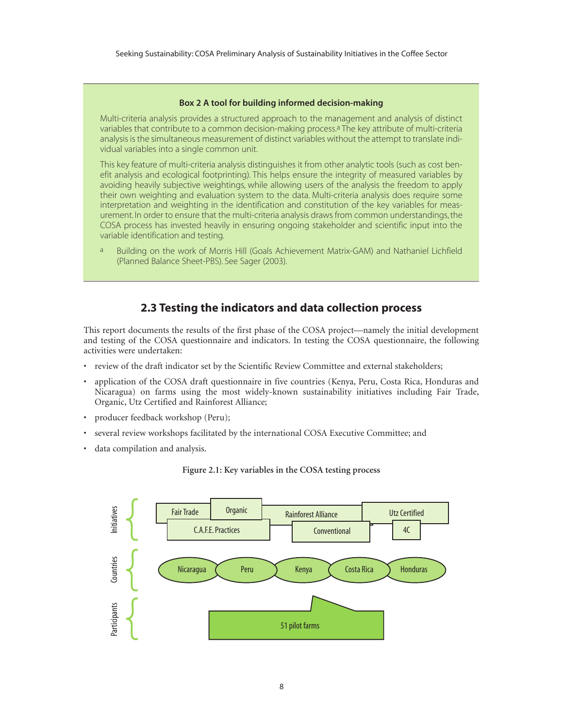#### **Box 2 A tool for building informed decision-making**

Multi-criteria analysis provides a structured approach to the management and analysis of distinct variables that contribute to a common decision-making process.<sup>a</sup> The key attribute of multi-criteria analysis is the simultaneous measurement of distinct variables without the attempt to translate individual variables into a single common unit.

This key feature of multi-criteria analysis distinguishes it from other analytic tools (such as cost benefit analysis and ecological footprinting). This helps ensure the integrity of measured variables by avoiding heavily subjective weightings, while allowing users of the analysis the freedom to apply their own weighting and evaluation system to the data. Multi-criteria analysis does require some interpretation and weighting in the identification and constitution of the key variables for measurement. In order to ensure that the multi-criteria analysis draws from common understandings, the COSA process has invested heavily in ensuring ongoing stakeholder and scientific input into the variable identification and testing.

a Building on the work of Morris Hill (Goals Achievement Matrix-GAM) and Nathaniel Lichfield (Planned Balance Sheet-PBS). See Sager (2003).

#### **2.3 Testing the indicators and data collection process**

This report documents the results of the first phase of the COSA project—namely the initial development and testing of the COSA questionnaire and indicators. In testing the COSA questionnaire, the following activities were undertaken:

- review of the draft indicator set by the Scientific Review Committee and external stakeholders;
- application of the COSA draft questionnaire in five countries (Kenya, Peru, Costa Rica, Honduras and Nicaragua) on farms using the most widely-known sustainability initiatives including Fair Trade, Organic, Utz Certified and Rainforest Alliance;
- producer feedback workshop (Peru);
- several review workshops facilitated by the international COSA Executive Committee; and
- data compilation and analysis.



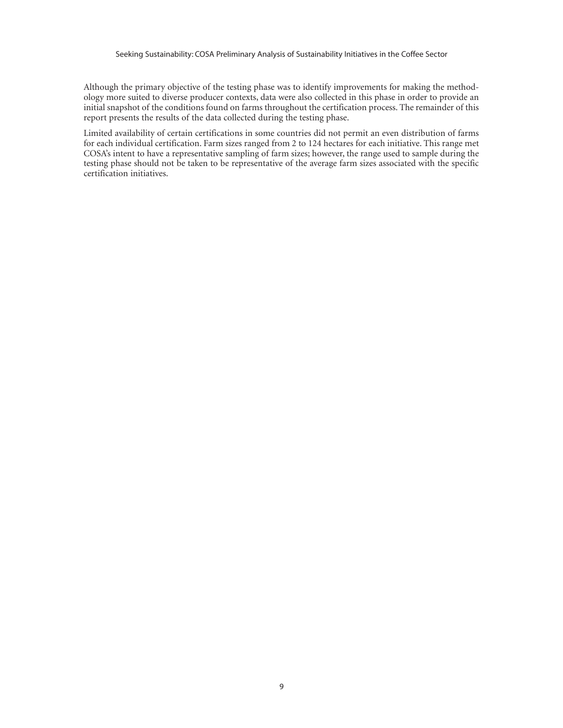Although the primary objective of the testing phase was to identify improvements for making the methodology more suited to diverse producer contexts, data were also collected in this phase in order to provide an initial snapshot of the conditions found on farms throughout the certification process. The remainder of this report presents the results of the data collected during the testing phase.

Limited availability of certain certifications in some countries did not permit an even distribution of farms for each individual certification. Farm sizes ranged from 2 to 124 hectares for each initiative. This range met COSA's intent to have a representative sampling of farm sizes; however, the range used to sample during the testing phase should not be taken to be representative of the average farm sizes associated with the specific certification initiatives.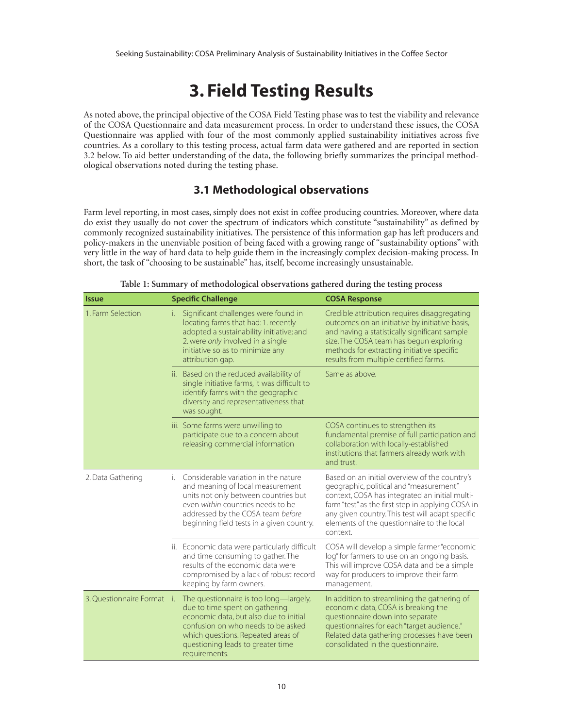## **3. Field Testing Results**

As noted above, the principal objective of the COSA Field Testing phase was to test the viability and relevance of the COSA Questionnaire and data measurement process. In order to understand these issues, the COSA Questionnaire was applied with four of the most commonly applied sustainability initiatives across five countries. As a corollary to this testing process, actual farm data were gathered and are reported in section 3.2 below. To aid better understanding of the data, the following briefly summarizes the principal methodological observations noted during the testing phase.

#### **3.1 Methodological observations**

Farm level reporting, in most cases, simply does not exist in coffee producing countries. Moreover, where data do exist they usually do not cover the spectrum of indicators which constitute "sustainability" as defined by commonly recognized sustainability initiatives. The persistence of this information gap has left producers and policy-makers in the unenviable position of being faced with a growing range of "sustainability options" with very little in the way of hard data to help guide them in the increasingly complex decision-making process. In short, the task of "choosing to be sustainable" has, itself, become increasingly unsustainable.

| <b>Issue</b>               | <b>Specific Challenge</b>                                                                                                                                                                                                                            | <b>COSA Response</b>                                                                                                                                                                                                                                                                                          |
|----------------------------|------------------------------------------------------------------------------------------------------------------------------------------------------------------------------------------------------------------------------------------------------|---------------------------------------------------------------------------------------------------------------------------------------------------------------------------------------------------------------------------------------------------------------------------------------------------------------|
| 1. Farm Selection          | Significant challenges were found in<br>i.<br>locating farms that had: 1. recently<br>adopted a sustainability initiative; and<br>2. were only involved in a single<br>initiative so as to minimize any<br>attribution gap.                          | Credible attribution requires disaggregating<br>outcomes on an initiative by initiative basis,<br>and having a statistically significant sample<br>size. The COSA team has begun exploring<br>methods for extracting initiative specific<br>results from multiple certified farms.                            |
|                            | ii. Based on the reduced availability of<br>single initiative farms, it was difficult to<br>identify farms with the geographic<br>diversity and representativeness that<br>was sought.                                                               | Same as above.                                                                                                                                                                                                                                                                                                |
|                            | iii. Some farms were unwilling to<br>participate due to a concern about<br>releasing commercial information                                                                                                                                          | COSA continues to strengthen its<br>fundamental premise of full participation and<br>collaboration with locally-established<br>institutions that farmers already work with<br>and trust.                                                                                                                      |
| 2. Data Gathering          | Considerable variation in the nature<br>i.<br>and meaning of local measurement<br>units not only between countries but<br>even within countries needs to be<br>addressed by the COSA team before<br>beginning field tests in a given country.        | Based on an initial overview of the country's<br>geographic, political and "measurement"<br>context, COSA has integrated an initial multi-<br>farm "test" as the first step in applying COSA in<br>any given country. This test will adapt specific<br>elements of the questionnaire to the local<br>context. |
|                            | ii. Economic data were particularly difficult<br>and time consuming to gather. The<br>results of the economic data were<br>compromised by a lack of robust record<br>keeping by farm owners.                                                         | COSA will develop a simple farmer "economic<br>log" for farmers to use on an ongoing basis.<br>This will improve COSA data and be a simple<br>way for producers to improve their farm<br>management.                                                                                                          |
| 3. Ouestionnaire Format i. | The questionnaire is too long—largely,<br>due to time spent on gathering<br>economic data, but also due to initial<br>confusion on who needs to be asked<br>which questions. Repeated areas of<br>questioning leads to greater time<br>requirements. | In addition to streamlining the gathering of<br>economic data, COSA is breaking the<br>questionnaire down into separate<br>questionnaires for each "target audience."<br>Related data gathering processes have been<br>consolidated in the questionnaire.                                                     |

| Table 1: Summary of methodological observations gathered during the testing process |  |  |
|-------------------------------------------------------------------------------------|--|--|
|                                                                                     |  |  |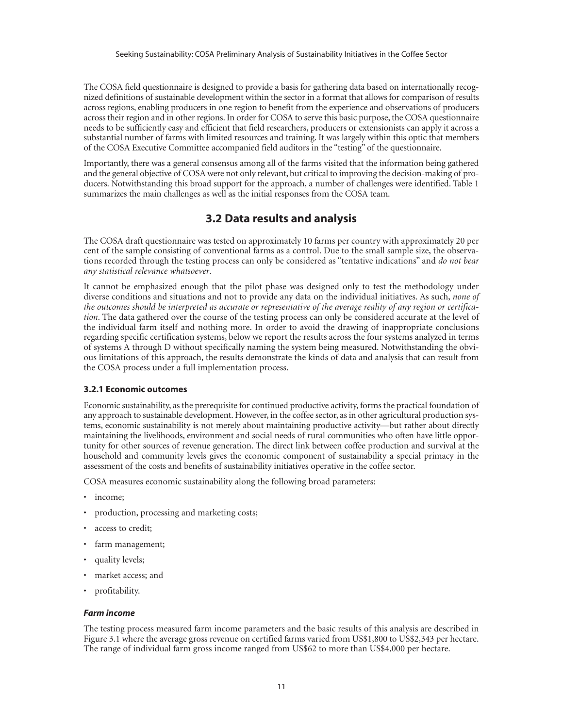The COSA field questionnaire is designed to provide a basis for gathering data based on internationally recognized definitions of sustainable development within the sector in a format that allows for comparison of results across regions, enabling producers in one region to benefit from the experience and observations of producers across their region and in other regions. In order for COSA to serve this basic purpose, the COSA questionnaire needs to be sufficiently easy and efficient that field researchers, producers or extensionists can apply it across a substantial number of farms with limited resources and training. It was largely within this optic that members of the COSA Executive Committee accompanied field auditors in the "testing" of the questionnaire.

Importantly, there was a general consensus among all of the farms visited that the information being gathered and the general objective of COSA were not only relevant, but critical to improving the decision-making of producers. Notwithstanding this broad support for the approach, a number of challenges were identified. Table 1 summarizes the main challenges as well as the initial responses from the COSA team.

#### **3.2 Data results and analysis**

The COSA draft questionnaire was tested on approximately 10 farms per country with approximately 20 per cent of the sample consisting of conventional farms as a control. Due to the small sample size, the observations recorded through the testing process can only be considered as "tentative indications" and *do not bear any statistical relevance whatsoever*.

It cannot be emphasized enough that the pilot phase was designed only to test the methodology under diverse conditions and situations and not to provide any data on the individual initiatives. As such, *none of the outcomes should be interpreted as accurate or representative of the average reality of any region or certification*. The data gathered over the course of the testing process can only be considered accurate at the level of the individual farm itself and nothing more. In order to avoid the drawing of inappropriate conclusions regarding specific certification systems, below we report the results across the four systems analyzed in terms of systems A through D without specifically naming the system being measured. Notwithstanding the obvious limitations of this approach, the results demonstrate the kinds of data and analysis that can result from the COSA process under a full implementation process.

#### **3.2.1 Economic outcomes**

Economic sustainability, as the prerequisite for continued productive activity, forms the practical foundation of any approach to sustainable development. However, in the coffee sector, as in other agricultural production systems, economic sustainability is not merely about maintaining productive activity—but rather about directly maintaining the livelihoods, environment and social needs of rural communities who often have little opportunity for other sources of revenue generation. The direct link between coffee production and survival at the household and community levels gives the economic component of sustainability a special primacy in the assessment of the costs and benefits of sustainability initiatives operative in the coffee sector.

COSA measures economic sustainability along the following broad parameters:

- income;
- production, processing and marketing costs;
- access to credit;
- farm management;
- quality levels;
- market access; and
- profitability.

#### *Farm income*

The testing process measured farm income parameters and the basic results of this analysis are described in Figure 3.1 where the average gross revenue on certified farms varied from US\$1,800 to US\$2,343 per hectare. The range of individual farm gross income ranged from US\$62 to more than US\$4,000 per hectare.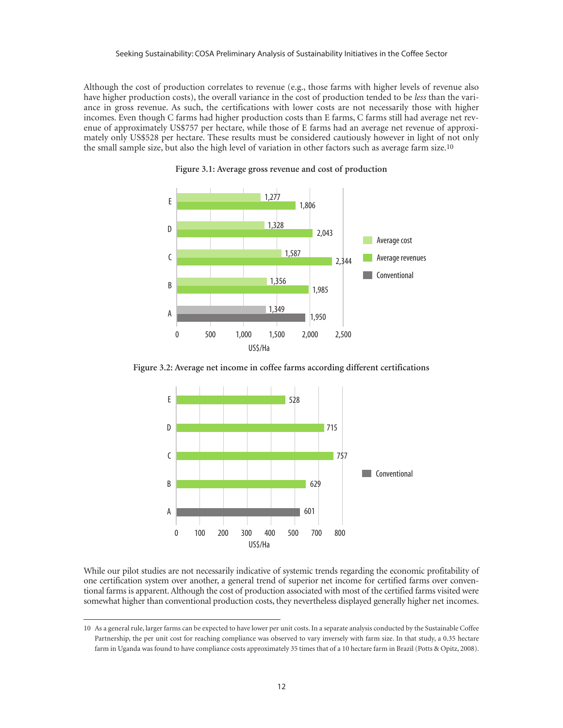Although the cost of production correlates to revenue (e.g., those farms with higher levels of revenue also have higher production costs), the overall variance in the cost of production tended to be *less* than the variance in gross revenue. As such, the certifications with lower costs are not necessarily those with higher incomes. Even though C farms had higher production costs than E farms, C farms still had average net revenue of approximately US\$757 per hectare, while those of E farms had an average net revenue of approximately only US\$528 per hectare. These results must be considered cautiously however in light of not only the small sample size, but also the high level of variation in other factors such as average farm size.10



**Figure 3.1: Average gross revenue and cost of production**

**Figure 3.2: Average net income in coffee farms according different certifications**



While our pilot studies are not necessarily indicative of systemic trends regarding the economic profitability of one certification system over another, a general trend of superior net income for certified farms over conventional farms is apparent. Although the cost of production associated with most of the certified farms visited were somewhat higher than conventional production costs, they nevertheless displayed generally higher net incomes.

<sup>10</sup> As a general rule, larger farms can be expected to have lower per unit costs. In a separate analysis conducted by the Sustainable Coffee Partnership, the per unit cost for reaching compliance was observed to vary inversely with farm size. In that study, a 0.35 hectare farm in Uganda was found to have compliance costs approximately 35 times that of a 10 hectare farm in Brazil (Potts & Opitz, 2008).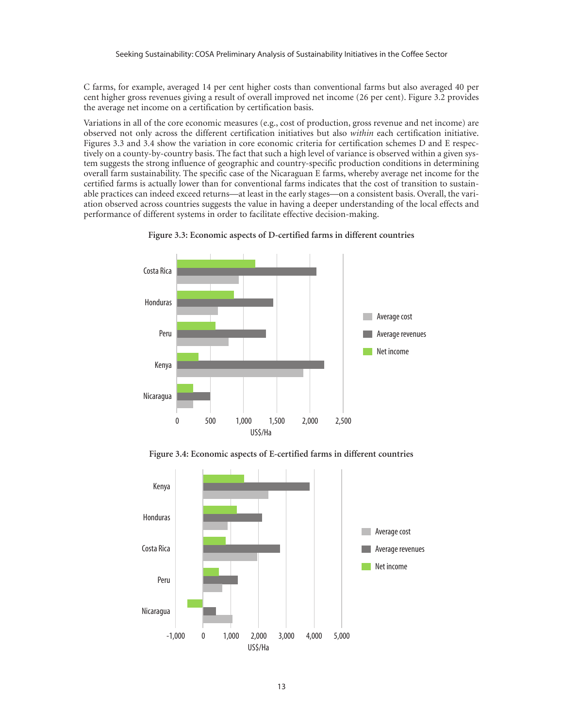C farms, for example, averaged 14 per cent higher costs than conventional farms but also averaged 40 per cent higher gross revenues giving a result of overall improved net income (26 per cent). Figure 3.2 provides the average net income on a certification by certification basis.

Variations in all of the core economic measures (e.g., cost of production, gross revenue and net income) are observed not only across the different certification initiatives but also *within* each certification initiative. Figures 3.3 and 3.4 show the variation in core economic criteria for certification schemes D and E respectively on a county-by-country basis. The fact that such a high level of variance is observed within a given system suggests the strong influence of geographic and country-specific production conditions in determining overall farm sustainability. The specific case of the Nicaraguan E farms, whereby average net income for the certified farms is actually lower than for conventional farms indicates that the cost of transition to sustainable practices can indeed exceed returns—at least in the early stages—on a consistent basis. Overall, the variation observed across countries suggests the value in having a deeper understanding of the local effects and performance of different systems in order to facilitate effective decision-making.





**Figure 3.4: Economic aspects of E-certified farms in different countries**

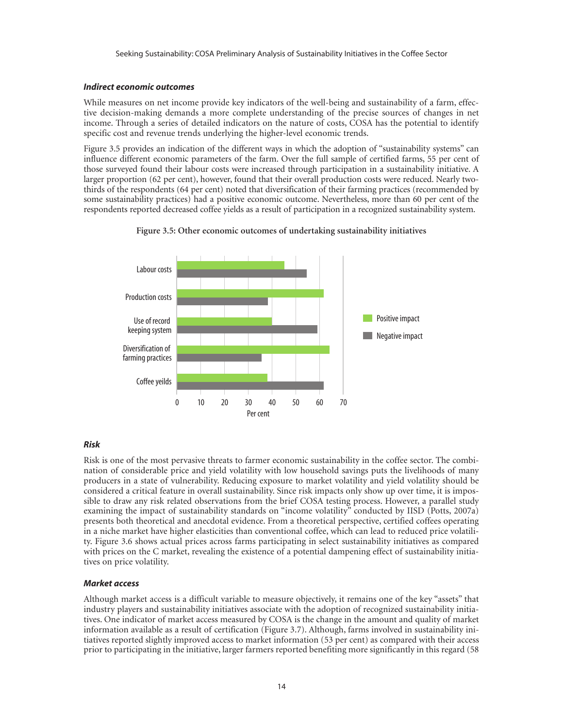#### *Indirect economic outcomes*

While measures on net income provide key indicators of the well-being and sustainability of a farm, effective decision-making demands a more complete understanding of the precise sources of changes in net income. Through a series of detailed indicators on the nature of costs, COSA has the potential to identify specific cost and revenue trends underlying the higher-level economic trends.

Figure 3.5 provides an indication of the different ways in which the adoption of "sustainability systems" can influence different economic parameters of the farm. Over the full sample of certified farms, 55 per cent of those surveyed found their labour costs were increased through participation in a sustainability initiative. A larger proportion (62 per cent), however, found that their overall production costs were reduced. Nearly twothirds of the respondents (64 per cent) noted that diversification of their farming practices (recommended by some sustainability practices) had a positive economic outcome. Nevertheless, more than 60 per cent of the respondents reported decreased coffee yields as a result of participation in a recognized sustainability system.



#### **Figure 3.5: Other economic outcomes of undertaking sustainability initiatives**

#### *Risk*

Risk is one of the most pervasive threats to farmer economic sustainability in the coffee sector. The combination of considerable price and yield volatility with low household savings puts the livelihoods of many producers in a state of vulnerability. Reducing exposure to market volatility and yield volatility should be considered a critical feature in overall sustainability. Since risk impacts only show up over time, it is impossible to draw any risk related observations from the brief COSA testing process. However, a parallel study examining the impact of sustainability standards on "income volatility" conducted by IISD (Potts, 2007a) presents both theoretical and anecdotal evidence. From a theoretical perspective, certified coffees operating in a niche market have higher elasticities than conventional coffee, which can lead to reduced price volatility. Figure 3.6 shows actual prices across farms participating in select sustainability initiatives as compared with prices on the C market, revealing the existence of a potential dampening effect of sustainability initiatives on price volatility.

#### *Market access*

Although market access is a difficult variable to measure objectively, it remains one of the key "assets" that industry players and sustainability initiatives associate with the adoption of recognized sustainability initiatives. One indicator of market access measured by COSA is the change in the amount and quality of market information available as a result of certification (Figure 3.7). Although, farms involved in sustainability initiatives reported slightly improved access to market information (53 per cent) as compared with their access prior to participating in the initiative, larger farmers reported benefiting more significantly in this regard (58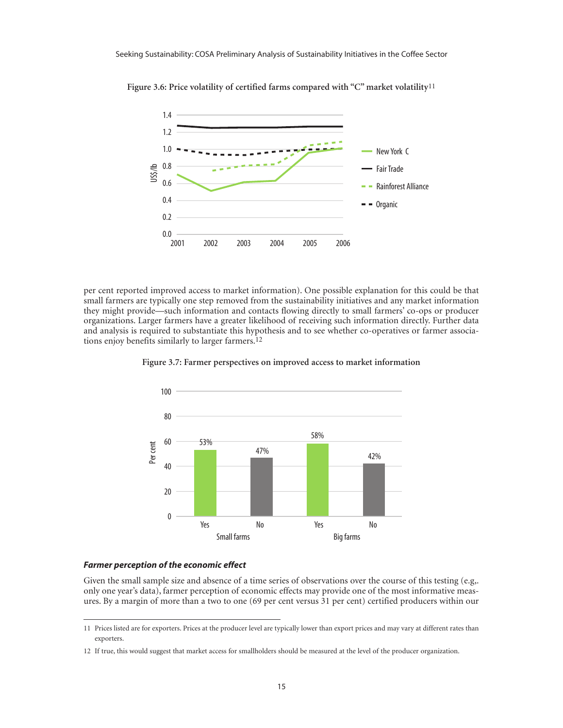

**Figure 3.6: Price volatility of certified farms compared with "C" market volatility**11

per cent reported improved access to market information). One possible explanation for this could be that small farmers are typically one step removed from the sustainability initiatives and any market information they might provide—such information and contacts flowing directly to small farmers' co-ops or producer organizations. Larger farmers have a greater likelihood of receiving such information directly. Further data and analysis is required to substantiate this hypothesis and to see whether co-operatives or farmer associations enjoy benefits similarly to larger farmers.12



**Figure 3.7: Farmer perspectives on improved access to market information**

#### *Farmer perception of the economic effect*

Given the small sample size and absence of a time series of observations over the course of this testing (e.g,. only one year's data), farmer perception of economic effects may provide one of the most informative measures. By a margin of more than a two to one (69 per cent versus 31 per cent) certified producers within our

<sup>11</sup> Prices listed are for exporters. Prices at the producer level are typically lower than export prices and may vary at different rates than exporters.

<sup>12</sup> If true, this would suggest that market access for smallholders should be measured at the level of the producer organization.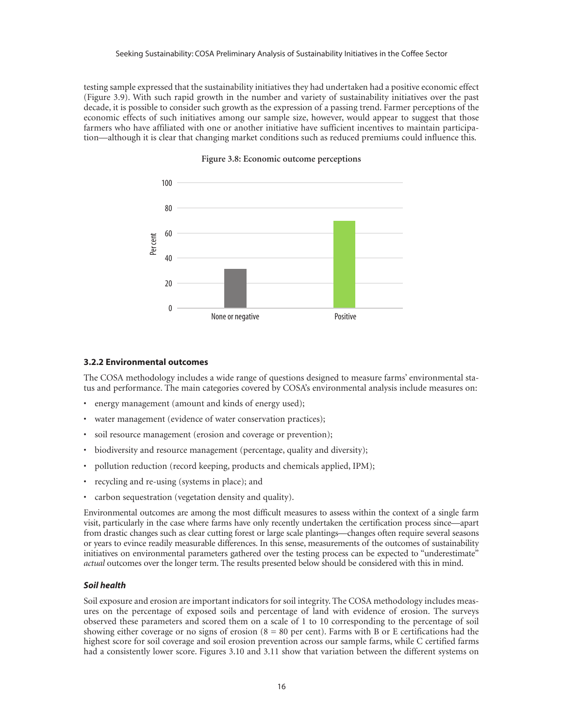testing sample expressed that the sustainability initiatives they had undertaken had a positive economic effect (Figure 3.9). With such rapid growth in the number and variety of sustainability initiatives over the past decade, it is possible to consider such growth as the expression of a passing trend. Farmer perceptions of the economic effects of such initiatives among our sample size, however, would appear to suggest that those farmers who have affiliated with one or another initiative have sufficient incentives to maintain participation—although it is clear that changing market conditions such as reduced premiums could influence this.



#### **Figure 3.8: Economic outcome perceptions**

#### **3.2.2 Environmental outcomes**

The COSA methodology includes a wide range of questions designed to measure farms' environmental status and performance. The main categories covered by COSA's environmental analysis include measures on:

- energy management (amount and kinds of energy used);
- water management (evidence of water conservation practices);
- soil resource management (erosion and coverage or prevention);
- biodiversity and resource management (percentage, quality and diversity);
- pollution reduction (record keeping, products and chemicals applied, IPM);
- recycling and re-using (systems in place); and
- carbon sequestration (vegetation density and quality).

Environmental outcomes are among the most difficult measures to assess within the context of a single farm visit, particularly in the case where farms have only recently undertaken the certification process since—apart from drastic changes such as clear cutting forest or large scale plantings—changes often require several seasons or years to evince readily measurable differences. In this sense, measurements of the outcomes of sustainability initiatives on environmental parameters gathered over the testing process can be expected to "underestimate" *actual* outcomes over the longer term. The results presented below should be considered with this in mind.

#### *Soil health*

Soil exposure and erosion are important indicators for soil integrity. The COSA methodology includes measures on the percentage of exposed soils and percentage of land with evidence of erosion. The surveys observed these parameters and scored them on a scale of 1 to 10 corresponding to the percentage of soil showing either coverage or no signs of erosion  $(8 = 80$  per cent). Farms with B or E certifications had the highest score for soil coverage and soil erosion prevention across our sample farms, while C certified farms had a consistently lower score. Figures 3.10 and 3.11 show that variation between the different systems on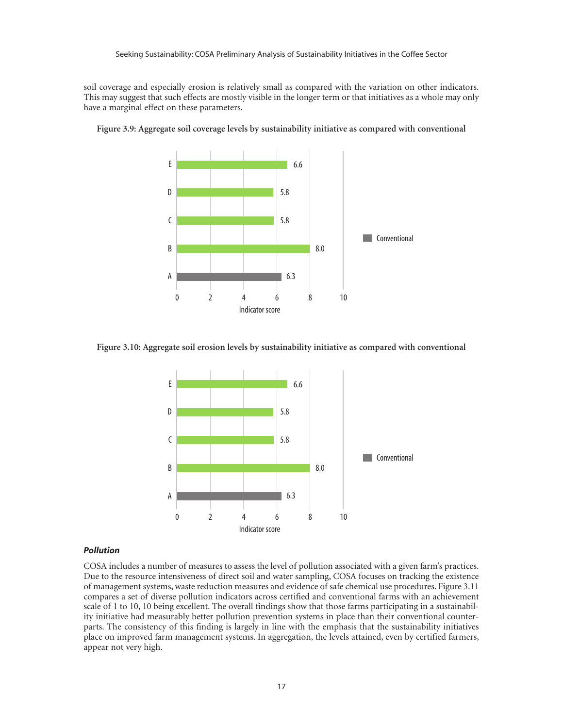soil coverage and especially erosion is relatively small as compared with the variation on other indicators. This may suggest that such effects are mostly visible in the longer term or that initiatives as a whole may only have a marginal effect on these parameters.



**Figure 3.9: Aggregate soil coverage levels by sustainability initiative as compared with conventional**

**Figure 3.10: Aggregate soil erosion levels by sustainability initiative as compared with conventional**



#### *Pollution*

COSA includes a number of measures to assess the level of pollution associated with a given farm's practices. Due to the resource intensiveness of direct soil and water sampling, COSA focuses on tracking the existence of management systems, waste reduction measures and evidence of safe chemical use procedures. Figure 3.11 compares a set of diverse pollution indicators across certified and conventional farms with an achievement scale of 1 to 10, 10 being excellent. The overall findings show that those farms participating in a sustainability initiative had measurably better pollution prevention systems in place than their conventional counterparts. The consistency of this finding is largely in line with the emphasis that the sustainability initiatives place on improved farm management systems. In aggregation, the levels attained, even by certified farmers, appear not very high.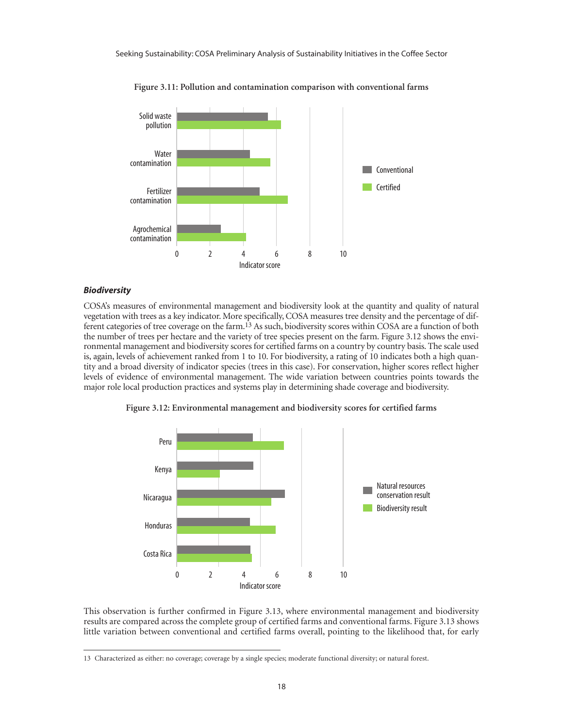

**Figure 3.11: Pollution and contamination comparison with conventional farms**

#### *Biodiversity*

COSA's measures of environmental management and biodiversity look at the quantity and quality of natural vegetation with trees as a key indicator. More specifically, COSA measures tree density and the percentage of different categories of tree coverage on the farm.13 As such, biodiversity scores within COSA are a function of both the number of trees per hectare and the variety of tree species present on the farm. Figure 3.12 shows the environmental management and biodiversity scores for certified farms on a country by country basis. The scale used is, again, levels of achievement ranked from 1 to 10. For biodiversity, a rating of 10 indicates both a high quantity and a broad diversity of indicator species (trees in this case). For conservation, higher scores reflect higher levels of evidence of environmental management. The wide variation between countries points towards the major role local production practices and systems play in determining shade coverage and biodiversity.

**Figure 3.12: Environmental management and biodiversity scores for certified farms**



This observation is further confirmed in Figure 3.13, where environmental management and biodiversity results are compared across the complete group of certified farms and conventional farms. Figure 3.13 shows little variation between conventional and certified farms overall, pointing to the likelihood that, for early

<sup>13</sup> Characterized as either: no coverage; coverage by a single species; moderate functional diversity; or natural forest.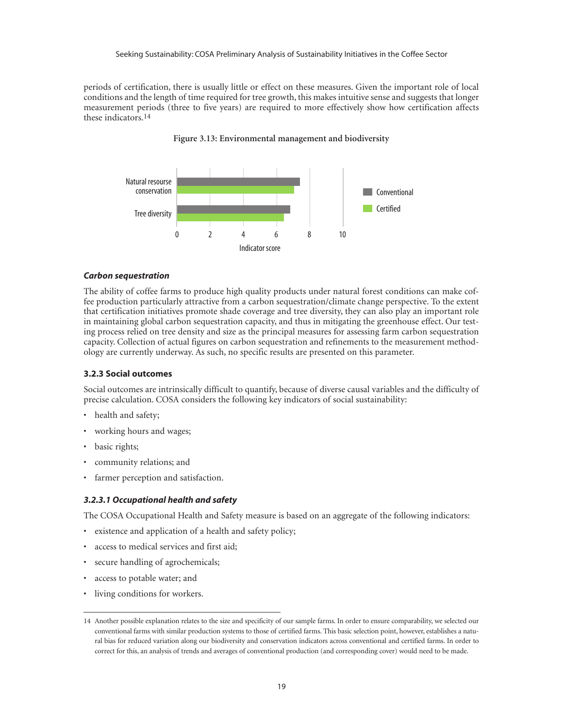periods of certification, there is usually little or effect on these measures. Given the important role of local conditions and the length of time required for tree growth, this makes intuitive sense and suggests that longer measurement periods (three to five years) are required to more effectively show how certification affects these indicators.14





#### *Carbon sequestration*

The ability of coffee farms to produce high quality products under natural forest conditions can make coffee production particularly attractive from a carbon sequestration/climate change perspective. To the extent that certification initiatives promote shade coverage and tree diversity, they can also play an important role in maintaining global carbon sequestration capacity, and thus in mitigating the greenhouse effect. Our testing process relied on tree density and size as the principal measures for assessing farm carbon sequestration capacity. Collection of actual figures on carbon sequestration and refinements to the measurement methodology are currently underway. As such, no specific results are presented on this parameter.

#### **3.2.3 Social outcomes**

Social outcomes are intrinsically difficult to quantify, because of diverse causal variables and the difficulty of precise calculation. COSA considers the following key indicators of social sustainability:

- health and safety;
- working hours and wages;
- basic rights;
- community relations; and
- farmer perception and satisfaction.

#### *3.2.3.1 Occupational health and safety*

The COSA Occupational Health and Safety measure is based on an aggregate of the following indicators:

- existence and application of a health and safety policy;
- access to medical services and first aid;
- secure handling of agrochemicals;
- access to potable water; and
- living conditions for workers.

<sup>14</sup> Another possible explanation relates to the size and specificity of our sample farms. In order to ensure comparability, we selected our conventional farms with similar production systems to those of certified farms. This basic selection point, however, establishes a natural bias for reduced variation along our biodiversity and conservation indicators across conventional and certified farms. In order to correct for this, an analysis of trends and averages of conventional production (and corresponding cover) would need to be made.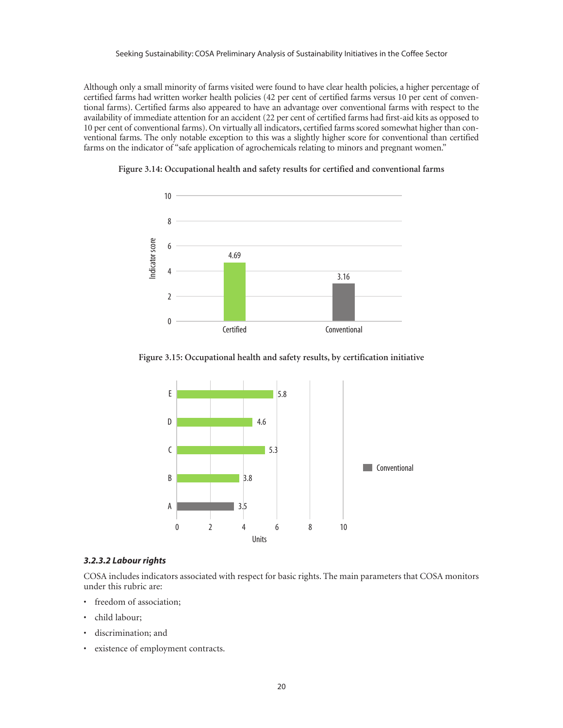Although only a small minority of farms visited were found to have clear health policies, a higher percentage of certified farms had written worker health policies (42 per cent of certified farms versus 10 per cent of conventional farms). Certified farms also appeared to have an advantage over conventional farms with respect to the availability of immediate attention for an accident (22 per cent of certified farms had first-aid kits as opposed to 10 per cent of conventional farms). On virtually all indicators, certified farms scored somewhat higher than conventional farms. The only notable exception to this was a slightly higher score for conventional than certified farms on the indicator of "safe application of agrochemicals relating to minors and pregnant women."



**Figure 3.14: Occupational health and safety results for certified and conventional farms**





#### *3.2.3.2 Labour rights*

COSA includes indicators associated with respect for basic rights. The main parameters that COSA monitors under this rubric are:

- freedom of association;
- child labour;
- discrimination; and
- existence of employment contracts.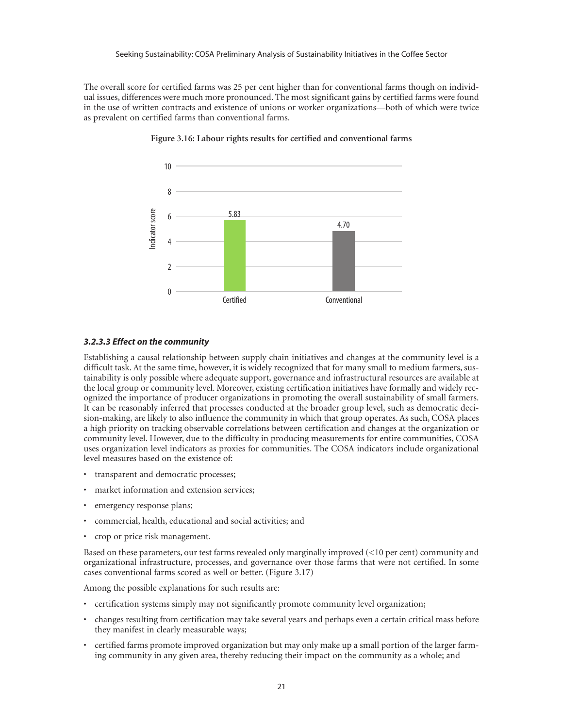The overall score for certified farms was 25 per cent higher than for conventional farms though on individual issues, differences were much more pronounced. The most significant gains by certified farms were found in the use of written contracts and existence of unions or worker organizations—both of which were twice as prevalent on certified farms than conventional farms.



**Figure 3.16: Labour rights results for certified and conventional farms**

#### *3.2.3.3 Effect on the community*

Establishing a causal relationship between supply chain initiatives and changes at the community level is a difficult task. At the same time, however, it is widely recognized that for many small to medium farmers, sustainability is only possible where adequate support, governance and infrastructural resources are available at the local group or community level. Moreover, existing certification initiatives have formally and widely recognized the importance of producer organizations in promoting the overall sustainability of small farmers. It can be reasonably inferred that processes conducted at the broader group level, such as democratic decision-making, are likely to also influence the community in which that group operates. As such, COSA places a high priority on tracking observable correlations between certification and changes at the organization or community level. However, due to the difficulty in producing measurements for entire communities, COSA uses organization level indicators as proxies for communities. The COSA indicators include organizational level measures based on the existence of:

- transparent and democratic processes;
- market information and extension services;
- emergency response plans;
- commercial, health, educational and social activities; and
- crop or price risk management.

Based on these parameters, our test farms revealed only marginally improved (<10 per cent) community and organizational infrastructure, processes, and governance over those farms that were not certified. In some cases conventional farms scored as well or better. (Figure 3.17)

Among the possible explanations for such results are:

- certification systems simply may not significantly promote community level organization;
- changes resulting from certification may take several years and perhaps even a certain critical mass before they manifest in clearly measurable ways;
- certified farms promote improved organization but may only make up a small portion of the larger farming community in any given area, thereby reducing their impact on the community as a whole; and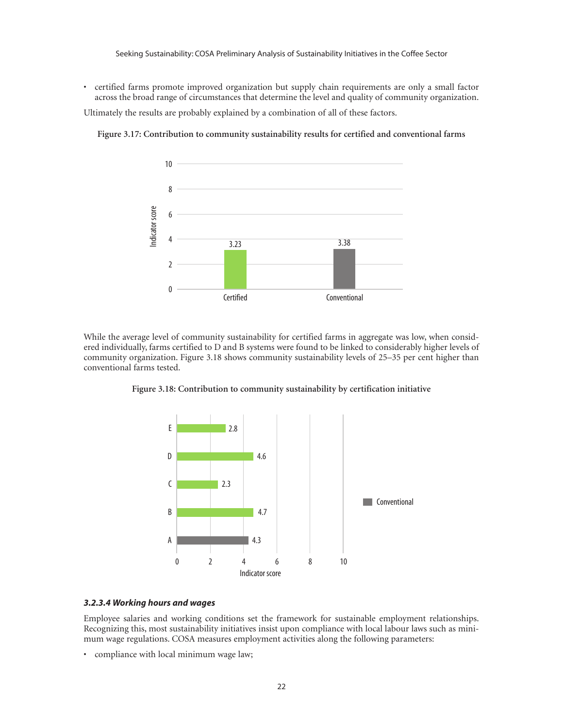• certified farms promote improved organization but supply chain requirements are only a small factor across the broad range of circumstances that determine the level and quality of community organization.

Ultimately the results are probably explained by a combination of all of these factors.

**Figure 3.17: Contribution to community sustainability results for certified and conventional farms**



While the average level of community sustainability for certified farms in aggregate was low, when considered individually, farms certified to D and B systems were found to be linked to considerably higher levels of community organization. Figure 3.18 shows community sustainability levels of 25–35 per cent higher than conventional farms tested.



**Figure 3.18: Contribution to community sustainability by certification initiative**

#### *3.2.3.4 Working hours and wages*

Employee salaries and working conditions set the framework for sustainable employment relationships. Recognizing this, most sustainability initiatives insist upon compliance with local labour laws such as minimum wage regulations. COSA measures employment activities along the following parameters:

• compliance with local minimum wage law;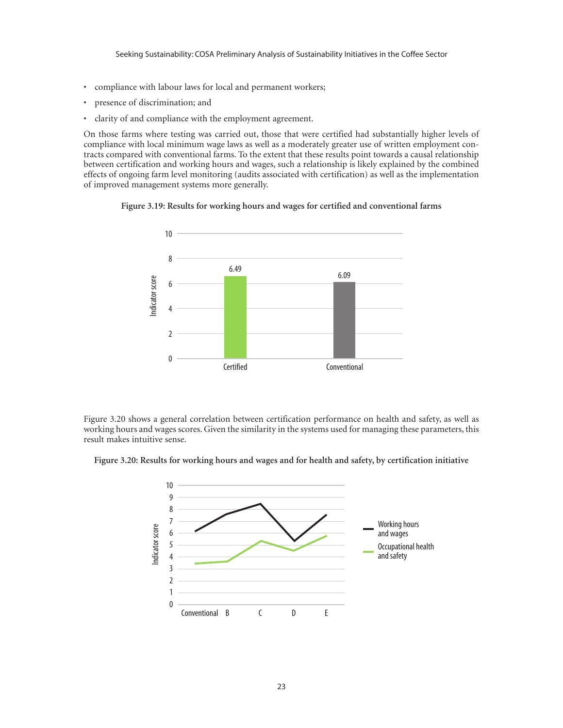- compliance with labour laws for local and permanent workers;
- presence of discrimination; and
- clarity of and compliance with the employment agreement.

On those farms where testing was carried out, those that were certified had substantially higher levels of compliance with local minimum wage laws as well as a moderately greater use of written employment contracts compared with conventional farms. To the extent that these results point towards a causal relationship between certification and working hours and wages, such a relationship is likely explained by the combined effects of ongoing farm level monitoring (audits associated with certification) as well as the implementation of improved management systems more generally.





Figure 3.20 shows a general correlation between certification performance on health and safety, as well as working hours and wages scores. Given the similarity in the systems used for managing these parameters, this result makes intuitive sense.

**Figure 3.20: Results for working hours and wages and for health and safety, by certification initiative**

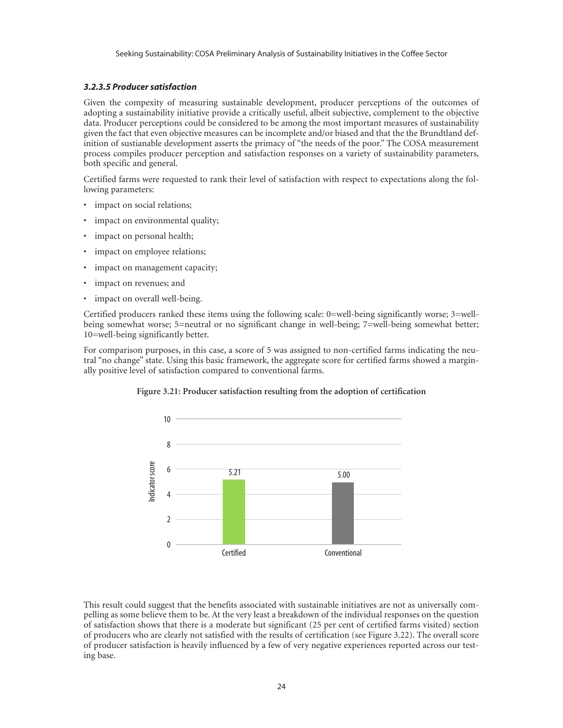#### *3.2.3.5 Producer satisfaction*

Given the compexity of measuring sustainable development, producer perceptions of the outcomes of adopting a sustainability initiative provide a critically useful, albeit subjective, complement to the objective data. Producer perceptions could be considered to be among the most important measures of sustainability given the fact that even objective measures can be incomplete and/or biased and that the the Brundtland definition of sustianable development asserts the primacy of "the needs of the poor." The COSA measurement process compiles producer perception and satisfaction responses on a variety of sustainability parameters, both specific and general.

Certified farms were requested to rank their level of satisfaction with respect to expectations along the following parameters:

- impact on social relations;
- impact on environmental quality;
- impact on personal health;
- impact on employee relations;
- impact on management capacity;
- impact on revenues; and
- impact on overall well-being.

Certified producers ranked these items using the following scale: 0=well-being significantly worse; 3=wellbeing somewhat worse; 5=neutral or no significant change in well-being; 7=well-being somewhat better; 10=well-being significantly better.

For comparison purposes, in this case, a score of 5 was assigned to non-certified farms indicating the neutral "no change" state. Using this basic framework, the aggregate score for certified farms showed a marginally positive level of satisfaction compared to conventional farms.



#### **Figure 3.21: Producer satisfaction resulting from the adoption of certification**

This result could suggest that the benefits associated with sustainable initiatives are not as universally compelling as some believe them to be. At the very least a breakdown of the individual responses on the question of satisfaction shows that there is a moderate but significant (25 per cent of certified farms visited) section of producers who are clearly not satisfied with the results of certification (see Figure 3.22). The overall score of producer satisfaction is heavily influenced by a few of very negative experiences reported across our testing base.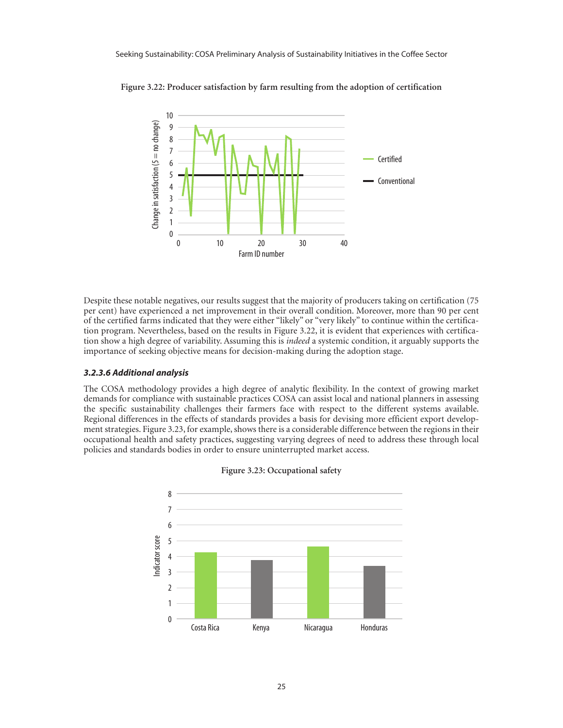

**Figure 3.22: Producer satisfaction by farm resulting from the adoption of certification**

Despite these notable negatives, our results suggest that the majority of producers taking on certification (75 per cent) have experienced a net improvement in their overall condition. Moreover, more than 90 per cent of the certified farms indicated that they were either "likely" or "very likely" to continue within the certification program. Nevertheless, based on the results in Figure 3.22, it is evident that experiences with certification show a high degree of variability. Assuming this is *indeed* a systemic condition, it arguably supports the importance of seeking objective means for decision-making during the adoption stage.

#### *3.2.3.6 Additional analysis*

The COSA methodology provides a high degree of analytic flexibility. In the context of growing market demands for compliance with sustainable practices COSA can assist local and national planners in assessing the specific sustainability challenges their farmers face with respect to the different systems available. Regional differences in the effects of standards provides a basis for devising more efficient export development strategies. Figure 3.23, for example, shows there is a considerable difference between the regions in their occupational health and safety practices, suggesting varying degrees of need to address these through local policies and standards bodies in order to ensure uninterrupted market access.



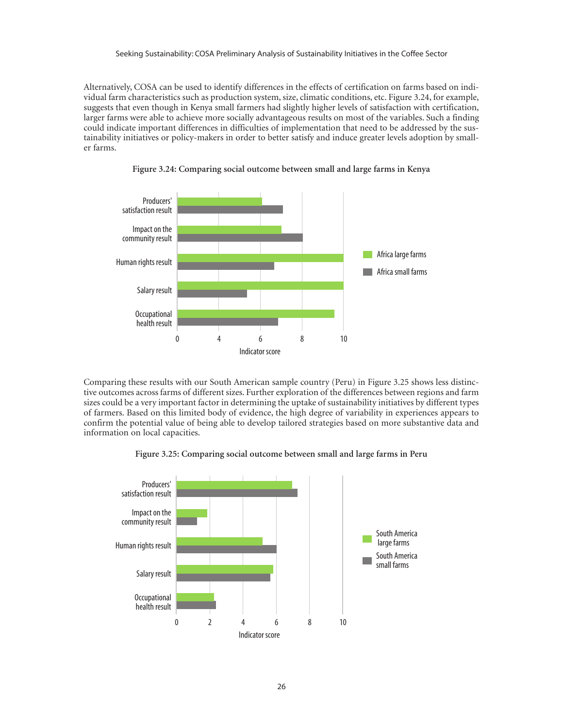Alternatively, COSA can be used to identify differences in the effects of certification on farms based on individual farm characteristics such as production system, size, climatic conditions, etc. Figure 3.24, for example, suggests that even though in Kenya small farmers had slightly higher levels of satisfaction with certification, larger farms were able to achieve more socially advantageous results on most of the variables. Such a finding could indicate important differences in difficulties of implementation that need to be addressed by the sustainability initiatives or policy-makers in order to better satisfy and induce greater levels adoption by smaller farms.





Comparing these results with our South American sample country (Peru) in Figure 3.25 shows less distinctive outcomes across farms of different sizes. Further exploration of the differences between regions and farm sizes could be a very important factor in determining the uptake of sustainability initiatives by different types of farmers. Based on this limited body of evidence, the high degree of variability in experiences appears to confirm the potential value of being able to develop tailored strategies based on more substantive data and information on local capacities.



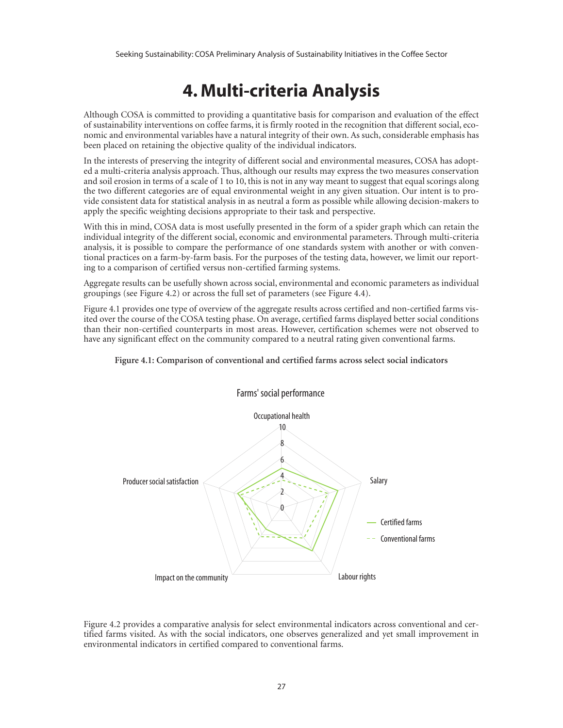## **4. Multi-criteria Analysis**

Although COSA is committed to providing a quantitative basis for comparison and evaluation of the effect of sustainability interventions on coffee farms, it is firmly rooted in the recognition that different social, economic and environmental variables have a natural integrity of their own. As such, considerable emphasis has been placed on retaining the objective quality of the individual indicators.

In the interests of preserving the integrity of different social and environmental measures, COSA has adopted a multi-criteria analysis approach. Thus, although our results may express the two measures conservation and soil erosion in terms of a scale of 1 to 10, this is not in any way meant to suggest that equal scorings along the two different categories are of equal environmental weight in any given situation. Our intent is to provide consistent data for statistical analysis in as neutral a form as possible while allowing decision-makers to apply the specific weighting decisions appropriate to their task and perspective.

With this in mind, COSA data is most usefully presented in the form of a spider graph which can retain the individual integrity of the different social, economic and environmental parameters. Through multi-criteria analysis, it is possible to compare the performance of one standards system with another or with conventional practices on a farm-by-farm basis. For the purposes of the testing data, however, we limit our reporting to a comparison of certified versus non-certified farming systems.

Aggregate results can be usefully shown across social, environmental and economic parameters as individual groupings (see Figure 4.2) or across the full set of parameters (see Figure 4.4).

Figure 4.1 provides one type of overview of the aggregate results across certified and non-certified farms visited over the course of the COSA testing phase. On average, certified farms displayed better social conditions than their non-certified counterparts in most areas. However, certification schemes were not observed to have any significant effect on the community compared to a neutral rating given conventional farms.



#### **Figure 4.1: Comparison of conventional and certified farms across select social indicators**

Figure 4.2 provides a comparative analysis for select environmental indicators across conventional and certified farms visited. As with the social indicators, one observes generalized and yet small improvement in environmental indicators in certified compared to conventional farms.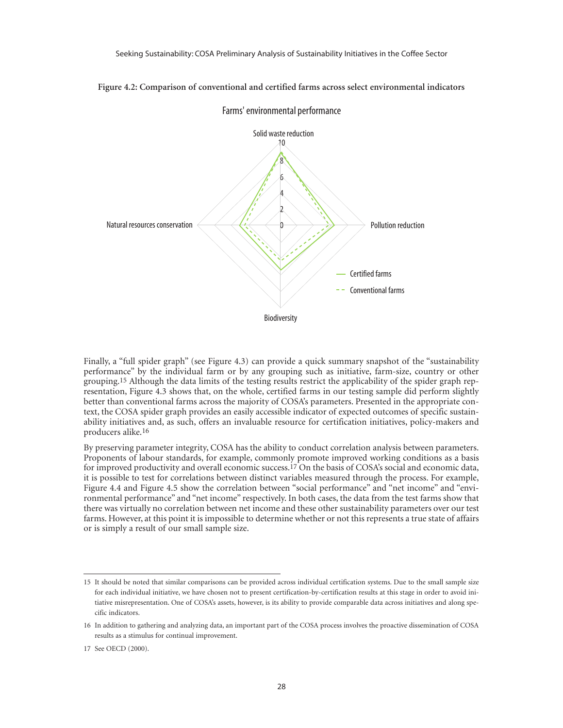

**Figure 4.2: Comparison of conventional and certified farms across select environmental indicators**

Finally, a "full spider graph" (see Figure 4.3) can provide a quick summary snapshot of the "sustainability performance" by the individual farm or by any grouping such as initiative, farm-size, country or other grouping.15 Although the data limits of the testing results restrict the applicability of the spider graph representation, Figure 4.3 shows that, on the whole, certified farms in our testing sample did perform slightly better than conventional farms across the majority of COSA's parameters. Presented in the appropriate context, the COSA spider graph provides an easily accessible indicator of expected outcomes of specific sustainability initiatives and, as such, offers an invaluable resource for certification initiatives, policy-makers and producers alike.16

By preserving parameter integrity, COSA has the ability to conduct correlation analysis between parameters. Proponents of labour standards, for example, commonly promote improved working conditions as a basis for improved productivity and overall economic success.17 On the basis of COSA's social and economic data, it is possible to test for correlations between distinct variables measured through the process. For example, Figure 4.4 and Figure 4.5 show the correlation between "social performance" and "net income" and "environmental performance" and "net income" respectively. In both cases, the data from the test farms show that there was virtually no correlation between net income and these other sustainability parameters over our test farms. However, at this point it is impossible to determine whether or not this represents a true state of affairs or is simply a result of our small sample size.

<sup>15</sup> It should be noted that similar comparisons can be provided across individual certification systems. Due to the small sample size for each individual initiative, we have chosen not to present certification-by-certification results at this stage in order to avoid initiative misrepresentation. One of COSA's assets, however, is its ability to provide comparable data across initiatives and along specific indicators.

<sup>16</sup> In addition to gathering and analyzing data, an important part of the COSA process involves the proactive dissemination of COSA results as a stimulus for continual improvement.

<sup>17</sup> See OECD (2000).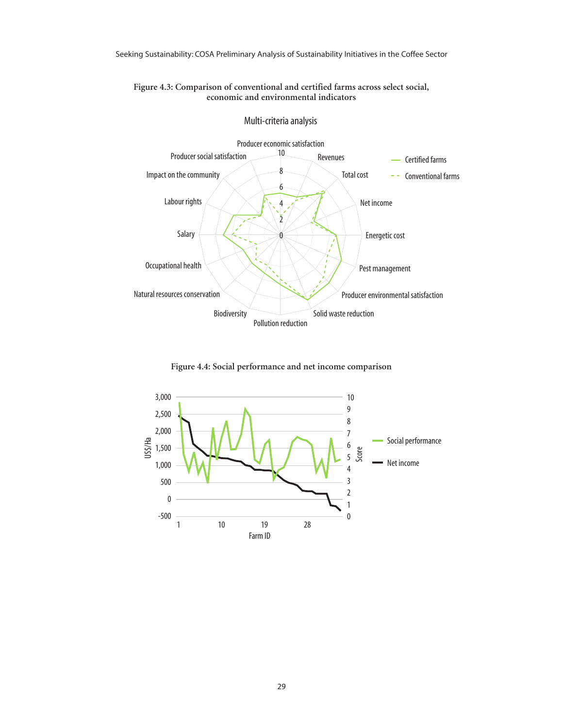

**Figure 4.3: Comparison of conventional and certified farms across select social, economic and environmental indicators**

**Figure 4.4: Social performance and net income comparison**

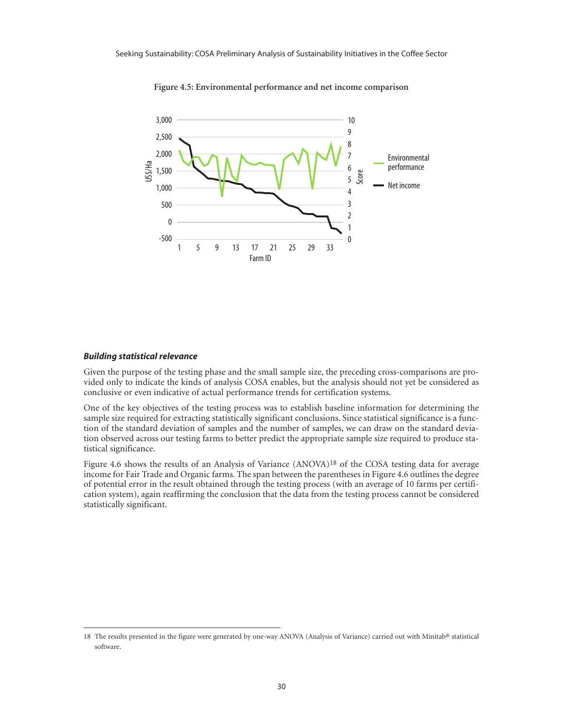

**Figure 4.5: Environmental performance and net income comparison**

#### *Building statistical relevance*

Given the purpose of the testing phase and the small sample size, the preceding cross-comparisons are provided only to indicate the kinds of analysis COSA enables, but the analysis should not yet be considered as conclusive or even indicative of actual performance trends for certification systems.

One of the key objectives of the testing process was to establish baseline information for determining the sample size required for extracting statistically significant conclusions. Since statistical significance is a function of the standard deviation of samples and the number of samples, we can draw on the standard deviation observed across our testing farms to better predict the appropriate sample size required to produce statistical significance.

Figure 4.6 shows the results of an Analysis of Variance (ANOVA)18 of the COSA testing data for average income for Fair Trade and Organic farms. The span between the parentheses in Figure 4.6 outlines the degree of potential error in the result obtained through the testing process (with an average of 10 farms per certification system), again reaffirming the conclusion that the data from the testing process cannot be considered statistically significant.

<sup>18</sup> The results presented in the figure were generated by one-way ANOVA (Analysis of Variance) carried out with Minitab® statistical software.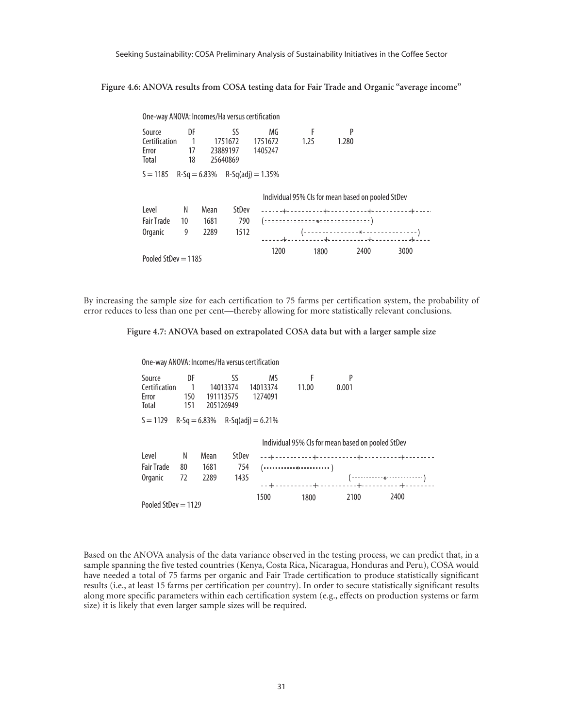**Figure 4.6: ANOVA results from COSA testing data for Fair Trade and Organic "average income"**

| One-way ANOVA: Incomes/Ha versus certification    |                |                                      |         |         |      |       |  |      |  |
|---------------------------------------------------|----------------|--------------------------------------|---------|---------|------|-------|--|------|--|
| Source                                            | DF             |                                      | SS      | MG      | F    | P     |  |      |  |
| Certification                                     | $\overline{1}$ |                                      | 1751672 | 1751672 | 1.25 | 1.280 |  |      |  |
| Error                                             | 17             | 23889197                             |         | 1405247 |      |       |  |      |  |
| Total                                             | 18             | 25640869                             |         |         |      |       |  |      |  |
| $S = 1185$                                        |                | $R-Sq = 6.83\%$ $R-Sq(adi) = 1.35\%$ |         |         |      |       |  |      |  |
|                                                   |                |                                      |         |         |      |       |  |      |  |
| Individual 95% CIs for mean based on pooled StDev |                |                                      |         |         |      |       |  |      |  |
| l evel                                            | N              | Mean                                 | StDev   |         |      |       |  |      |  |
| <b>Fair Trade</b>                                 | 10             | 1681                                 | 790     |         |      |       |  |      |  |
| Organic                                           | 9              | 2289                                 | 1512    |         |      |       |  |      |  |
|                                                   |                |                                      |         |         |      |       |  |      |  |
|                                                   |                |                                      |         | 1200    | 1800 | 2400  |  | 3000 |  |
| Pooled StDev $=$ 1185                             |                |                                      |         |         |      |       |  |      |  |

By increasing the sample size for each certification to 75 farms per certification system, the probability of error reduces to less than one per cent—thereby allowing for more statistically relevant conclusions.

**Figure 4.7: ANOVA based on extrapolated COSA data but with a larger sample size**

One-way ANOVA: Incomes/Ha versus certification Source DF SS MS F P Certification 1 14013374 14013374 11.00 0.001 Error 150 191113575<br>Total 151 205126949 205126949  $S = 1129$  R-Sq = 6.83% R-Sq(adj) = 6.21% Level N Mean StDev Fair Trade 80 1681 754 Organic 72 2289 1435 Pooled StDev = 1129 Individual 95% CIs for mean based on pooled StDev ++ ++ ++++ \* (::::::::::<sub>\*</sub>:::::::::) 1500 1800 2100 2400 (-----------<sub>\*</sub>------------- )

Based on the ANOVA analysis of the data variance observed in the testing process, we can predict that, in a sample spanning the five tested countries (Kenya, Costa Rica, Nicaragua, Honduras and Peru), COSA would have needed a total of 75 farms per organic and Fair Trade certification to produce statistically significant results (i.e., at least 15 farms per certification per country). In order to secure statistically significant results along more specific parameters within each certification system (e.g., effects on production systems or farm size) it is likely that even larger sample sizes will be required.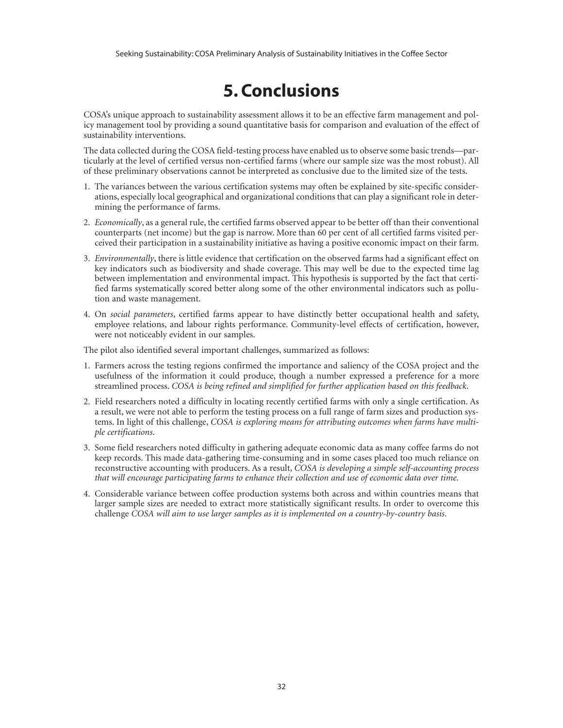## **5. Conclusions**

COSA's unique approach to sustainability assessment allows it to be an effective farm management and policy management tool by providing a sound quantitative basis for comparison and evaluation of the effect of sustainability interventions.

The data collected during the COSA field-testing process have enabled us to observe some basic trends—particularly at the level of certified versus non-certified farms (where our sample size was the most robust). All of these preliminary observations cannot be interpreted as conclusive due to the limited size of the tests.

- 1. The variances between the various certification systems may often be explained by site-specific considerations, especially local geographical and organizational conditions that can play a significant role in determining the performance of farms.
- 2. *Economically*, as a general rule, the certified farms observed appear to be better off than their conventional counterparts (net income) but the gap is narrow. More than 60 per cent of all certified farms visited perceived their participation in a sustainability initiative as having a positive economic impact on their farm.
- 3. *Environmentally*, there is little evidence that certification on the observed farms had a significant effect on key indicators such as biodiversity and shade coverage. This may well be due to the expected time lag between implementation and environmental impact. This hypothesis is supported by the fact that certified farms systematically scored better along some of the other environmental indicators such as pollution and waste management.
- 4. On *social parameters*, certified farms appear to have distinctly better occupational health and safety, employee relations, and labour rights performance. Community-level effects of certification, however, were not noticeably evident in our samples.

The pilot also identified several important challenges, summarized as follows:

- 1. Farmers across the testing regions confirmed the importance and saliency of the COSA project and the usefulness of the information it could produce, though a number expressed a preference for a more streamlined process. *COSA is being refined and simplified for further application based on this feedback*.
- 2. Field researchers noted a difficulty in locating recently certified farms with only a single certification. As a result, we were not able to perform the testing process on a full range of farm sizes and production systems. In light of this challenge, *COSA is exploring means for attributing outcomes when farms have multiple certifications*.
- 3. Some field researchers noted difficulty in gathering adequate economic data as many coffee farms do not keep records. This made data-gathering time-consuming and in some cases placed too much reliance on reconstructive accounting with producers. As a result, *COSA is developing a simple self-accounting process that will encourage participating farms to enhance their collection and use of economic data over time*.
- 4. Considerable variance between coffee production systems both across and within countries means that larger sample sizes are needed to extract more statistically significant results. In order to overcome this challenge *COSA will aim to use larger samples as it is implemented on a country-by-country basis*.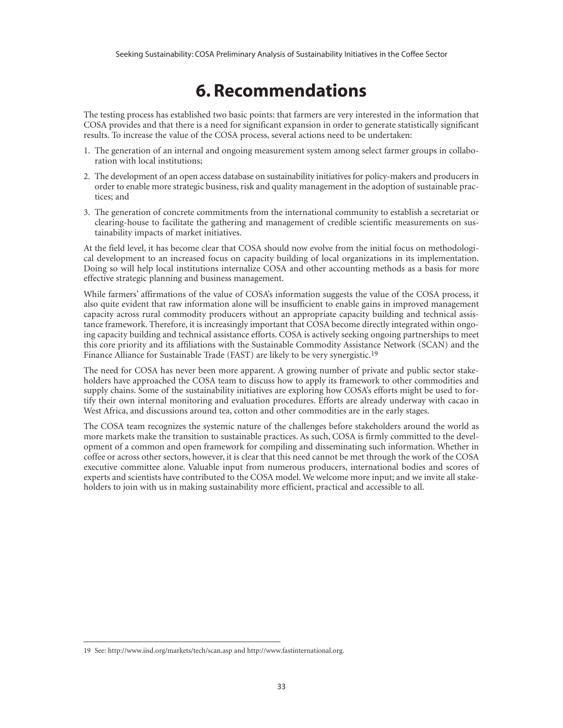## **6. Recommendations**

The testing process has established two basic points: that farmers are very interested in the information that COSA provides and that there is a need for significant expansion in order to generate statistically significant results. To increase the value of the COSA process, several actions need to be undertaken:

- 1. The generation of an internal and ongoing measurement system among select farmer groups in collaboration with local institutions;
- 2. The development of an open access database on sustainability initiatives for policy-makers and producers in order to enable more strategic business, risk and quality management in the adoption of sustainable practices; and
- 3. The generation of concrete commitments from the international community to establish a secretariat or clearing-house to facilitate the gathering and management of credible scientific measurements on sustainability impacts of market initiatives.

At the field level, it has become clear that COSA should now evolve from the initial focus on methodological development to an increased focus on capacity building of local organizations in its implementation. Doing so will help local institutions internalize COSA and other accounting methods as a basis for more effective strategic planning and business management.

While farmers' affirmations of the value of COSA's information suggests the value of the COSA process, it also quite evident that raw information alone will be insufficient to enable gains in improved management capacity across rural commodity producers without an appropriate capacity building and technical assistance framework. Therefore, it is increasingly important that COSA become directly integrated within ongoing capacity building and technical assistance efforts. COSA is actively seeking ongoing partnerships to meet this core priority and its affiliations with the Sustainable Commodity Assistance Network (SCAN) and the Finance Alliance for Sustainable Trade (FAST) are likely to be very synergistic.19

The need for COSA has never been more apparent. A growing number of private and public sector stakeholders have approached the COSA team to discuss how to apply its framework to other commodities and supply chains. Some of the sustainability initiatives are exploring how COSA's efforts might be used to fortify their own internal monitoring and evaluation procedures. Efforts are already underway with cacao in West Africa, and discussions around tea, cotton and other commodities are in the early stages.

The COSA team recognizes the systemic nature of the challenges before stakeholders around the world as more markets make the transition to sustainable practices. As such, COSA is firmly committed to the development of a common and open framework for compiling and disseminating such information. Whether in coffee or across other sectors, however, it is clear that this need cannot be met through the work of the COSA executive committee alone. Valuable input from numerous producers, international bodies and scores of experts and scientists have contributed to the COSA model. We welcome more input; and we invite all stakeholders to join with us in making sustainability more efficient, practical and accessible to all.

<sup>19</sup> See: http://www.iisd.org/markets/tech/scan.asp and http://www.fastinternational.org.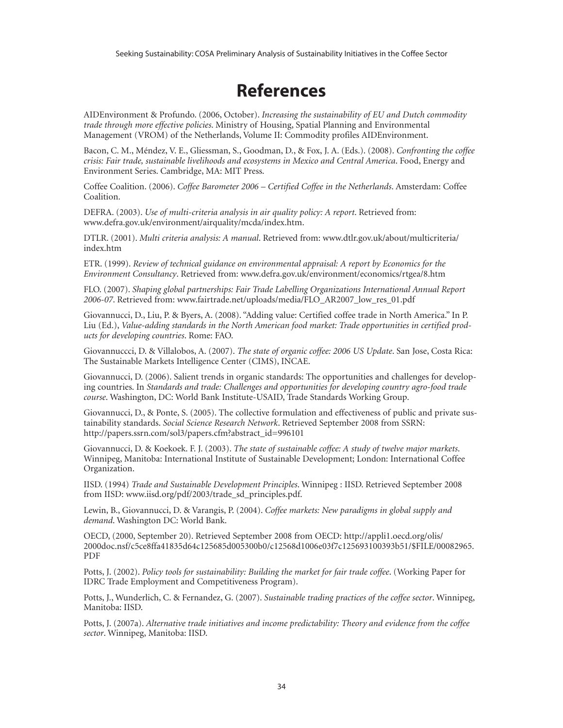## **References**

AIDEnvironment & Profundo. (2006, October). *Increasing the sustainability of EU and Dutch commodity trade through more effective policies*. Ministry of Housing, Spatial Planning and Environmental Management (VROM) of the Netherlands, Volume II: Commodity profiles AIDEnvironment.

Bacon, C. M., Méndez, V. E., Gliessman, S., Goodman, D., & Fox, J. A. (Eds.). (2008). *Confronting the coffee crisis: Fair trade, sustainable livelihoods and ecosystems in Mexico and Central America*. Food, Energy and Environment Series. Cambridge, MA: MIT Press.

Coffee Coalition. (2006). *Coffee Barometer 2006 – Certified Coffee in the Netherlands*. Amsterdam: Coffee Coalition.

DEFRA. (2003). *Use of multi-criteria analysis in air quality policy: A report*. Retrieved from: www.defra.gov.uk/environment/airquality/mcda/index.htm.

DTLR. (2001). *Multi criteria analysis: A manual*. Retrieved from: www.dtlr.gov.uk/about/multicriteria/ index.htm

ETR. (1999). *Review of technical guidance on environmental appraisal: A report by Economics for the Environment Consultancy*. Retrieved from: www.defra.gov.uk/environment/economics/rtgea/8.htm

FLO. (2007). *Shaping global partnerships: Fair Trade Labelling Organizations International Annual Report 2006-07*. Retrieved from: www.fairtrade.net/uploads/media/FLO\_AR2007\_low\_res\_01.pdf

Giovannucci, D., Liu, P. & Byers, A. (2008). "Adding value: Certified coffee trade in North America." In P. Liu (Ed.), *Value-adding standards in the North American food market: Trade opportunities in certified products for developing countries*. Rome: FAO.

Giovannuccci, D. & Villalobos, A. (2007). *The state of organic coffee: 2006 US Update*. San Jose, Costa Rica: The Sustainable Markets Intelligence Center (CIMS), INCAE.

Giovannucci, D. (2006). Salient trends in organic standards: The opportunities and challenges for developing countries. In *Standards and trade: Challenges and opportunities for developing country agro-food trade course*. Washington, DC: World Bank Institute-USAID, Trade Standards Working Group.

Giovannucci, D., & Ponte, S. (2005). The collective formulation and effectiveness of public and private sustainability standards. *Social Science Research Network*. Retrieved September 2008 from SSRN: http://papers.ssrn.com/sol3/papers.cfm?abstract\_id=996101

Giovannucci, D. & Koekoek. F. J. (2003). *The state of sustainable coffee: A study of twelve major markets*. Winnipeg, Manitoba: International Institute of Sustainable Development; London: International Coffee Organization.

IISD. (1994) *Trade and Sustainable Development Principles*. Winnipeg : IISD. Retrieved September 2008 from IISD: www.iisd.org/pdf/2003/trade\_sd\_principles.pdf.

Lewin, B., Giovannucci, D. & Varangis, P. (2004). *Coffee markets: New paradigms in global supply and demand*. Washington DC: World Bank.

OECD, (2000, September 20). Retrieved September 2008 from OECD: http://appli1.oecd.org/olis/ 2000doc.nsf/c5ce8ffa41835d64c125685d005300b0/c12568d1006e03f7c125693100393b51/\$FILE/00082965. PDF

Potts, J. (2002). *Policy tools for sustainability: Building the market for fair trade coffee*. (Working Paper for IDRC Trade Employment and Competitiveness Program).

Potts, J., Wunderlich, C. & Fernandez, G. (2007). *Sustainable trading practices of the coffee sector*. Winnipeg, Manitoba: IISD.

Potts, J. (2007a). *Alternative trade initiatives and income predictability: Theory and evidence from the coffee sector*. Winnipeg, Manitoba: IISD.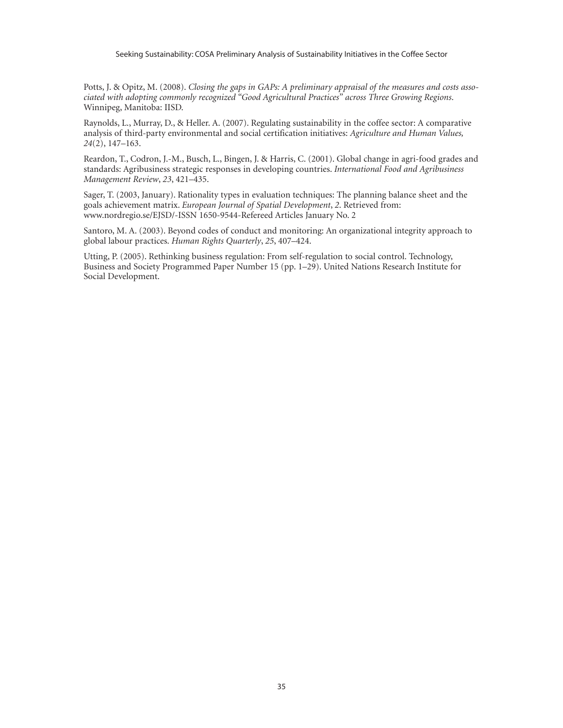Potts, J. & Opitz, M. (2008). *Closing the gaps in GAPs: A preliminary appraisal of the measures and costs associated with adopting commonly recognized "Good Agricultural Practices" across Three Growing Regions*. Winnipeg, Manitoba: IISD.

Raynolds, L., Murray, D., & Heller. A. (2007). Regulating sustainability in the coffee sector: A comparative analysis of third-party environmental and social certification initiatives: *Agriculture and Human Values, 24*(2), 147–163.

Reardon, T., Codron, J.-M., Busch, L., Bingen, J. & Harris, C. (2001). Global change in agri-food grades and standards: Agribusiness strategic responses in developing countries. *International Food and Agribusiness Management Review*, *23*, 421–435.

Sager, T. (2003, January). Rationality types in evaluation techniques: The planning balance sheet and the goals achievement matrix. *European Journal of Spatial Development*, *2*. Retrieved from: www.nordregio.se/EJSD/-ISSN 1650-9544-Refereed Articles January No. 2

Santoro, M. A. (2003). Beyond codes of conduct and monitoring: An organizational integrity approach to global labour practices. *Human Rights Quarterly*, *25*, 407–424.

Utting, P. (2005). Rethinking business regulation: From self-regulation to social control. Technology, Business and Society Programmed Paper Number 15 (pp. 1–29). United Nations Research Institute for Social Development.